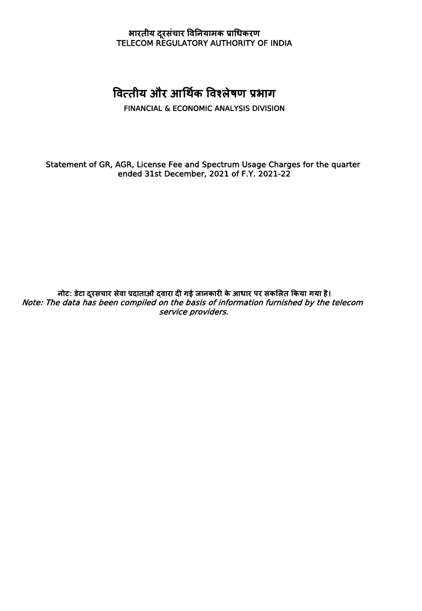## **भारतीय दरूसंचार विनियामक प्राधिकरण** TELECOM REGULATORY AUTHORITY OF INDIA

## **वित्तीय और आधथकि विश्िेषण प्रभाग**

FINANCIAL & ECONOMIC ANALYSIS DIVISION

Statement of GR, AGR, License Fee and Spectrum Usage Charges for the quarter ended 31st December, 2021 of F.Y. 2021-22

**िोट: डटे ा दरूसंचार सेिा प्रदाताओंद्िारा दी गई जािकारी के आिार पर संकलित ककया गया है।** Note: The data has been compiled on the basis of information furnished by the telecom service providers.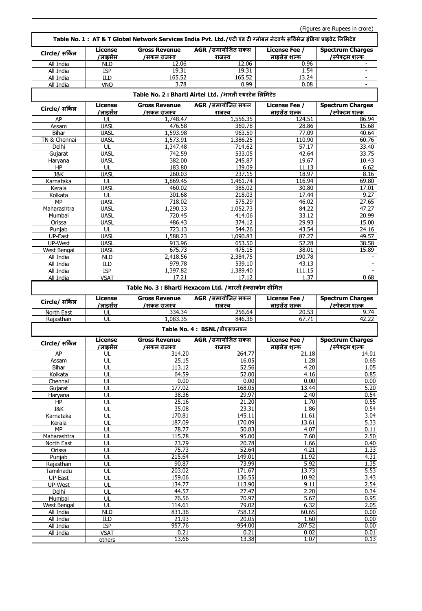|                        |                            |                                                          | Table No. 1 : AT & T Global Network Services India Pvt. Ltd./एटी एंड टी ग्लोबल नेटवर्क सर्विसेज इंडिया प्राइवेट लिमिटेड |                               |                                                      |
|------------------------|----------------------------|----------------------------------------------------------|-------------------------------------------------------------------------------------------------------------------------|-------------------------------|------------------------------------------------------|
| Circle/ सर्किल         | License<br>'लाइसेंस        | <b>Gross Revenue</b><br>/सकल राजस्व                      | AGR /समायोजित सकल<br>राजस्व                                                                                             | License Fee /<br>लाइसेंस शल्क | <b>Spectrum Charges</b><br>/स्पेक्टम शल्क            |
| All India              | <b>NLD</b>                 | 12.06                                                    | 12.06                                                                                                                   | 0.96                          |                                                      |
| All India              | <b>ISP</b>                 | 19.31                                                    | 19.31                                                                                                                   | 1.54                          | $\overline{\phantom{a}}$                             |
| All India<br>All India | <b>ILD</b><br><b>VNO</b>   | 165.52<br>3.78                                           | 165.52<br>0.99                                                                                                          | 13.24<br>0.08                 |                                                      |
|                        |                            |                                                          | Table No. 2 : Bharti Airtel Ltd. / भारती एयरटेल लिमिटेड                                                                 |                               |                                                      |
|                        | License                    | <b>Gross Revenue</b>                                     | AGR /समायोजित सकल                                                                                                       | <b>License Fee /</b>          | <b>Spectrum Charges</b>                              |
| Circle/ सर्किल         | /लाइसेंस                   | /सकल राजस्व                                              | राजस्व                                                                                                                  | लाडसेंस शल्क                  | /स्पेक्टम शल्क                                       |
| AP                     | UL                         | 1,748.47                                                 | 1,556.35                                                                                                                | 124.51                        | 86.94                                                |
| Assam                  | <b>UASL</b>                | 476.58                                                   | 360.78                                                                                                                  | 28.86                         | 15.68                                                |
| <b>Bihar</b>           | <b>UASL</b>                | 1,593.98                                                 | 963.59                                                                                                                  | 77.09                         | 40.64                                                |
| TN & Chennai           | <b>UASL</b>                | 1,573.91                                                 | 1,386.25                                                                                                                | 110.90<br>57.17               | 60.76                                                |
| Delhi<br>Gujarat       | UL<br><b>UASL</b>          | 1,347.48<br>742.59                                       | 714.62<br>533.05                                                                                                        | 42.64                         | 33.40<br>33.75                                       |
| Haryana                | <b>UASL</b>                | 382.00                                                   | 245.87                                                                                                                  | 19.67                         | 10.43                                                |
| HP                     | UL                         | 183.80                                                   | 139.09                                                                                                                  | 11.13                         | 6.62                                                 |
| J&K                    | <b>UASL</b>                | 260.03                                                   | 237.15                                                                                                                  | 18.97                         | 8.16                                                 |
| Karnataka              | UL                         | 1,869.45                                                 | 1,461.74                                                                                                                | 116.94                        | 69.80                                                |
| Kerala                 | <b>UASL</b>                | 460.02                                                   | 385.02                                                                                                                  | 30.80                         | 17.01                                                |
| Kolkata                | UL                         | 301.68                                                   | 218.03                                                                                                                  | 17.44                         | 9.27                                                 |
| MP                     | <b>UASL</b>                | 718.02                                                   | 575.29                                                                                                                  | 46.02                         | 27.65                                                |
| Maharashtra<br>Mumbai  | <b>UASL</b><br><b>UASL</b> | 1,290.33<br>720.45                                       | 1,052.73<br>414.06                                                                                                      | 84.22<br>33.12                | 47.27<br>20.99                                       |
| Orissa                 | <b>UASL</b>                | 486.43                                                   | 374.12                                                                                                                  | 29.93                         | 15.00                                                |
| Punjab                 | UL                         | 723.13                                                   | 544.26                                                                                                                  | 43.54                         | 24.16                                                |
| UP-East                | <b>UASL</b>                | 1,588.23                                                 | 1,090.83                                                                                                                | 87.27                         | 49.57                                                |
| UP-West                | <b>UASL</b>                | 913.96                                                   | 653.50                                                                                                                  | 52.28                         | 38.58                                                |
| West Bengal            | <b>UASL</b>                | 675.73                                                   | 475.15                                                                                                                  | 38.01                         | 15.89                                                |
| All India              | <b>NLD</b>                 | 2,418.56                                                 | 2,384.75                                                                                                                | 190.78                        |                                                      |
| All India              | ILD                        | 979.78                                                   | 539.10                                                                                                                  | 43.13                         |                                                      |
| All India<br>All India | <b>ISP</b><br>VSAT         | 1,397.82<br>17.21                                        | 1,389.40<br>17.12                                                                                                       | 111.15<br>1.37                | $\sim$<br>0.68                                       |
|                        |                            | Table No. 3 : Bharti Hexacom Ltd. /भारती हेक्साकोम सीमित |                                                                                                                         |                               |                                                      |
|                        |                            |                                                          |                                                                                                                         |                               |                                                      |
|                        |                            |                                                          |                                                                                                                         |                               |                                                      |
| Circle/ सर्किल         | License                    | <b>Gross Revenue</b>                                     | AGR /समायोजित सकल                                                                                                       | License Fee /                 | <b>Spectrum Charges</b>                              |
| North East             | /लाइसेंस<br>UL             | /सकल राजस्व<br>334.34                                    | राजस्व<br>256.64                                                                                                        | लाइसेंस शल्क<br>20.53         | /स्पेक्टम शल्क                                       |
| Rajasthan              | UL                         | 1,083.35                                                 | 846.36                                                                                                                  | 67.71                         | 9.74<br>42.22                                        |
|                        |                            |                                                          | Table No. 4: BSNL/बीएसएनएल                                                                                              |                               |                                                      |
| Circle/ सर्किल         | License                    | <b>Gross Revenue</b>                                     | AGR /समायोजित सकल                                                                                                       | <b>License Fee /</b>          | <b>Spectrum Charges</b>                              |
|                        | 'लाइसेंस                   | <u>/सकल राज</u> स्व                                      | राजस्व                                                                                                                  | लाडसेंस शल्क                  | /स्पेक्टम शल्क                                       |
| AP                     | UL                         | 314.20                                                   | 264.77                                                                                                                  | 21.18                         |                                                      |
| Assam                  | UL                         | 25.15                                                    | 16.05                                                                                                                   | 1.28                          |                                                      |
| Bihar<br>Kolkata       | UL<br>UL                   | 113.12<br>64.59                                          | 52.56<br>52.00                                                                                                          | 4.20<br>4.16                  |                                                      |
| Chennai                | UL                         | 0.00                                                     | 0.00                                                                                                                    | 0.00                          |                                                      |
| Gujarat                | UL                         | 177.02                                                   | 168.05                                                                                                                  | 13.44                         | 14.01<br>0.65<br>1.05<br>0.85<br>0.00<br>5.20        |
| Haryana                | UL                         | 38.36                                                    | 29.97                                                                                                                   | 2.40                          | 0.54                                                 |
| HP                     | UL                         | 25.16                                                    | 21.20                                                                                                                   | 1.70                          | 0.55                                                 |
| J&K                    | UL                         | 35.08                                                    | 23.31                                                                                                                   | 1.86                          | 0.54                                                 |
| Karnataka              | UL                         | 170.81                                                   | 145.11                                                                                                                  | 11.61                         |                                                      |
| Kerala<br><b>MP</b>    | UL<br>UL                   | 187.09<br>78.77                                          | 170.09<br>50.83                                                                                                         | 13.61<br>4.07                 |                                                      |
| Maharashtra            | UL                         | 115.78                                                   | 95.00                                                                                                                   | 7.60                          |                                                      |
| North East             | UL                         | 23.79                                                    | 20.78                                                                                                                   | 1.66                          |                                                      |
| Orissa                 | UL                         | 75.73                                                    | 52.64                                                                                                                   | 4.21                          |                                                      |
| Punjab                 | UL                         | 215.64                                                   | 149.01                                                                                                                  | 11.92                         | 3.04<br>5.33<br>0.11<br>2.50<br>0.40<br>1.33<br>4.31 |
| Rajasthan              | UL                         | 90.87                                                    | 73.99                                                                                                                   | 5.92                          |                                                      |
| Tamilnadu              | UL                         | 203.02                                                   | 171.67                                                                                                                  | 13.73                         | 1.35<br>5.53                                         |
| UP-East<br>UP-West     | UL<br>UL                   | 159.06<br>134.77                                         | 136.55<br>113.90                                                                                                        | 10.92<br>9.11                 | 3.43<br>2.54                                         |
| Delhi                  | UL                         | 44.57                                                    | 27.47                                                                                                                   | 2.20                          |                                                      |
| Mumbai                 | UL                         | 76.56                                                    | 70.97                                                                                                                   | 5.67                          | 0.34<br>0.95                                         |
| West Bengal            | UL                         | 114.61                                                   | 79.02                                                                                                                   | 6.32                          | 2.05                                                 |
| All India              | <b>NLD</b>                 | 831.36                                                   | 758.12                                                                                                                  | 60.65                         | 0.00                                                 |
| All India              | ILD                        | 21.93                                                    | 20.05                                                                                                                   | 1.60                          |                                                      |
| All India<br>All India | <b>ISP</b><br><b>VSAT</b>  | 957.76<br>0.21                                           | 954.00<br>0.21                                                                                                          | 207.52<br>0.02                | 0.00<br>0.00<br>0.01                                 |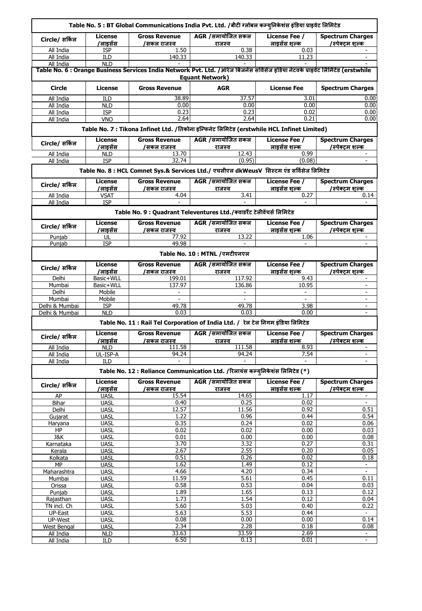|                          |                            |                                     | Table No. 5 : BT Global Communications India Pvt. Ltd. /बीटी ग्लोबल कम्युनिकेशंस इंडिया प्राइवेट लिमिटेड                                                  |                               |                                            |
|--------------------------|----------------------------|-------------------------------------|-----------------------------------------------------------------------------------------------------------------------------------------------------------|-------------------------------|--------------------------------------------|
| Circle/ सर्किल           | License<br>/लाइसेंस        | <b>Gross Revenue</b><br>/सकल राजस्व | AGR /समायोजित सकल<br>राजस्व                                                                                                                               | License Fee /<br>लाडसेंस शल्क | <b>Spectrum Charges</b><br>/स्पेक्टम शल्क  |
| All India                | <b>ISP</b>                 | 1.50                                | 0.38                                                                                                                                                      | 0.03                          |                                            |
| All India                | <b>ILD</b>                 | 140.33                              | 140.33                                                                                                                                                    | 11.23                         |                                            |
| All India                | <b>NLD</b>                 |                                     |                                                                                                                                                           |                               |                                            |
|                          |                            |                                     | Table No. 6 : Orange Business Services India Network Pvt. Ltd. /ऑरेज बिजनेस सर्विसेज इंडिया नेटवर्क प्राइवेट लिमिटेड (erstwhile<br><b>Equant Network)</b> |                               |                                            |
| Circle                   | <b>License</b>             | <b>Gross Revenue</b>                | <b>AGR</b>                                                                                                                                                | <b>License Fee</b>            | <b>Spectrum Charges</b>                    |
| All India                | ILD                        | 38.89                               | 37.57                                                                                                                                                     | 3.01                          | 0.00                                       |
| All India                | <b>NLD</b>                 | 0.00                                | 0.00                                                                                                                                                      | 0.00                          | 0.00                                       |
| All India                | <b>ISP</b>                 | 0.23                                | 0.23<br>2.64                                                                                                                                              | 0.02                          | 0.00<br>0.00                               |
| All India                | <b>VNO</b>                 | 2.64                                | Table No. 7 : Tikona Infinet Ltd. /तिकोना इन्फिनेट लिमिटेड (erstwhile HCL Infinet Limited)                                                                | 0.21                          |                                            |
|                          | <b>License</b>             | <b>Gross Revenue</b>                | AGR /समायोजित सकल                                                                                                                                         | License Fee /                 | <b>Spectrum Charges</b>                    |
| Circle/ सर्किल           | 'लाइसेंस                   | /सकल राजस्व                         | राजस्व                                                                                                                                                    | लाइसेंस शल्क                  | /स्पेक्टम शल्क                             |
| All India                | <b>NLD</b>                 | 13.70                               | 12.43                                                                                                                                                     | 0.99                          |                                            |
| All India                | <b>ISP</b>                 | 32.74                               | (0.95)                                                                                                                                                    | (0.08)                        | ×.                                         |
|                          |                            |                                     | Table No. 8 : HCL Comnet Sys.& Services Ltd./ एचसीएल dkWeusV सिस्टम एंड सर्विसेज लिमिटेड                                                                  |                               |                                            |
| Circle/ सर्किल           | License                    | <b>Gross Revenue</b>                | AGR /समायोजित सकल                                                                                                                                         | License Fee /                 | <b>Spectrum Charges</b>                    |
|                          | /लाइसेंस                   | /सकल राजस्व                         | राजस्व                                                                                                                                                    | लाडसेंस शल्क                  | /स्पेक्टम शल्क                             |
| All India                | VSAT                       | 4.04                                | 3.41                                                                                                                                                      | 0.27                          | 0.14                                       |
| All India                | <b>ISP</b>                 |                                     |                                                                                                                                                           |                               |                                            |
|                          |                            |                                     | Table No. 9 : Quadrant Televentures Ltd./क्वाडरैंट टेलीवेंचर्स लिमिटेड                                                                                    |                               |                                            |
| Circle/ सर्किल           | License<br>'लाइसेंस        | <b>Gross Revenue</b>                | AGR /समायोजित सकल                                                                                                                                         | License Fee /<br>लाइसेंस शल्क | <b>Spectrum Charges</b><br>/स्पेक्ट्म शल्क |
| Punjab                   | UL                         | /सकल राजस्व<br>77.92                | राजस्व<br>13.22                                                                                                                                           | 1.06                          |                                            |
| Punjab                   | <b>ISP</b>                 | 49.98                               | ÷.                                                                                                                                                        | $\bar{a}$                     | $\bar{a}$                                  |
|                          |                            |                                     | Table No. 10 : MTNL /एमटीएनएल                                                                                                                             |                               |                                            |
| Circle/ सर्किल           | License                    |                                     | AGR /समायोजित सकल                                                                                                                                         |                               |                                            |
|                          |                            | <b>Gross Revenue</b>                |                                                                                                                                                           |                               |                                            |
|                          | /लाइसेंस                   | /सकल राजस्व                         | राजस्व                                                                                                                                                    | License Fee /<br>लाइसेंस शल्क | <b>Spectrum Charges</b><br>/स्पेक्टम शल्क  |
| Delhi                    | Basic+WLL                  | 199.01                              | 117.92                                                                                                                                                    | 9.43                          | $\sim$                                     |
| Mumbai                   | Basic+WLL                  | 137.97                              | 136.86                                                                                                                                                    | 10.95                         | $\sim$                                     |
| Delhi                    | Mobile                     |                                     |                                                                                                                                                           |                               | ÷.                                         |
| Mumbai                   | Mobile                     |                                     |                                                                                                                                                           |                               |                                            |
| Delhi & Mumbai           | <b>ISP</b>                 | 49.78                               | 49.78                                                                                                                                                     | 3.98                          | $\bar{a}$                                  |
| Delhi & Mumbai           | <b>NLD</b>                 | 0.03                                | 0.03                                                                                                                                                      | 0.00                          | $\sim$                                     |
|                          |                            |                                     | Table No. 11 : Rail Tel Corporation of India Ltd. / रेल टेल निगम इंडिया लिमिटेड                                                                           |                               |                                            |
| Circle/ सकिल             | License                    | <b>Gross Revenue</b>                | AGR /समायोजित सकल                                                                                                                                         | License Fee /                 | <b>Spectrum Charges</b>                    |
|                          | /लाइसेंस                   | /सकल राजस्व                         | राजस्व                                                                                                                                                    | लाइसेंस शल्क                  | /स्पेक्टम शल्क                             |
| All India                | <b>NLD</b>                 | 111.58                              | 111.58                                                                                                                                                    | 8.93                          |                                            |
| All India                | UL-ISP-A                   | 94.24                               | 94.24                                                                                                                                                     | 7.54                          | $\bar{a}$<br>$\bar{a}$                     |
| All India                | ILD                        |                                     | Table No. 12 : Reliance Communication Ltd. /रिलायंस कम्युनिकेशंस लिमिटेड (*)                                                                              |                               |                                            |
|                          |                            |                                     | <b>AGR /समायोजित सकल</b>                                                                                                                                  | License Fee /                 | <b>Spectrum Charges</b>                    |
| Circle/ सर्किल           | <b>License</b><br>/लाइसेंस | <b>Gross Revenue</b><br>/सकल राजस्व | राजस्व                                                                                                                                                    | लाइसेंस शल्क                  | /स्पेक्टम शल्क                             |
| AP                       | <b>UASL</b>                | 15.54                               | 14.65                                                                                                                                                     | 1.17                          |                                            |
| Bihar                    | <b>UASL</b>                | 0.40                                | 0.25                                                                                                                                                      | 0.02                          | $\sim$                                     |
| Delhi                    | <b>UASL</b>                | 12.57                               | 11.56                                                                                                                                                     | 0.92                          | 0.51                                       |
| Gujarat                  | <b>UASL</b>                | 1.22                                | 0.96                                                                                                                                                      | 0.44                          | 0.54                                       |
| Haryana                  | UASL                       | 0.35                                | 0.24                                                                                                                                                      | 0.02                          | 0.06                                       |
| HP                       | <b>UASL</b>                | 0.02                                | 0.02                                                                                                                                                      | 0.00                          | 0.03                                       |
| J&K                      | <b>UASL</b>                | 0.01                                | 0.00                                                                                                                                                      | 0.00                          | 0.08                                       |
| Karnataka                | <b>UASL</b>                | 3.70                                | 3.32                                                                                                                                                      | 0.27                          | 0.31                                       |
| Kerala<br>Kolkata        | UASL<br><b>UASL</b>        | 2.67<br>0.51                        | 2.55<br>0.26                                                                                                                                              | 0.20<br>0.02                  | 0.05<br>0.18                               |
| <b>MP</b>                | <b>UASL</b>                | 1.62                                | 1.49                                                                                                                                                      | 0.12                          | $\sim$                                     |
| Maharashtra              | <b>UASL</b>                | 4.66                                | 4.20                                                                                                                                                      | 0.34                          | $\mathbb{L}^{\mathbb{N}}$                  |
| Mumbai                   | <b>UASL</b>                | 11.59                               | 5.61                                                                                                                                                      | 0.45                          | 0.11                                       |
| Orissa                   | <b>UASL</b>                | 0.58                                | 0.53                                                                                                                                                      | 0.04                          | 0.03                                       |
| Punjab                   | <b>UASL</b>                | 1.89                                | 1.65                                                                                                                                                      | 0.13                          | 0.12                                       |
| Rajasthan                | <b>UASL</b>                | 1.73                                | 1.54                                                                                                                                                      | 0.12                          | 0.04                                       |
| TN incl. Ch              | <b>UASL</b>                | 5.60                                | 5.03                                                                                                                                                      | 0.40                          | 0.22                                       |
| UP-East                  | <b>UASL</b>                | 5.63                                | 5.53                                                                                                                                                      | 0.44                          | $\overline{\phantom{a}}$                   |
| UP-West                  | <b>UASL</b>                | 0.08                                | 0.00                                                                                                                                                      | 0.00                          | 0.14                                       |
| West Bengal<br>All India | <b>UASL</b><br><b>NLD</b>  | 2.34<br>33.63                       | 2.28<br>33.59                                                                                                                                             | 0.18<br>2.69                  | 0.08<br>$\sim$                             |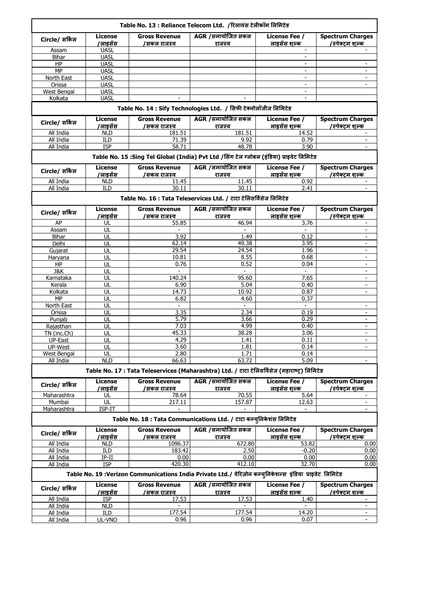|                          |                            |                                     | Table No. 13 : Reliance Telecom Ltd. /रिलायंस टेलीकॉम लिमिटेड                                                                |                               |                                           |
|--------------------------|----------------------------|-------------------------------------|------------------------------------------------------------------------------------------------------------------------------|-------------------------------|-------------------------------------------|
| Circle/ सर्किल           | <b>License</b><br>/लाइसेंस | <b>Gross Revenue</b><br>/सकल राजस्व | AGR /समायोजित सकल<br>राजस्व                                                                                                  | License Fee /<br>लाइसेंस शल्क | <b>Spectrum Charges</b><br>/स्पेक्टम शल्क |
| Assam                    | <b>UASL</b>                |                                     |                                                                                                                              |                               |                                           |
| <b>Bihar</b>             | <b>UASL</b>                |                                     |                                                                                                                              |                               |                                           |
| HP                       | UASL                       |                                     |                                                                                                                              | ÷.                            | ÷.                                        |
| MP                       | <b>UASL</b>                |                                     |                                                                                                                              |                               |                                           |
| North East<br>Orissa     | <b>UASL</b><br><b>UASL</b> |                                     |                                                                                                                              | $\overline{\phantom{a}}$      |                                           |
| West Bengal              | <b>UASL</b>                |                                     |                                                                                                                              | $\sim$                        |                                           |
| Kolkata                  | <b>UASL</b>                |                                     |                                                                                                                              |                               |                                           |
|                          |                            |                                     | Table No. 14 : Sify Technologies Ltd. / सिफी टेक्नोलॉजीज लिमिटेड                                                             |                               |                                           |
| Circle/ सर्किल           | <b>License</b>             | <b>Gross Revenue</b>                | AGR /समायोजित सकल                                                                                                            | License Fee /                 | <b>Spectrum Charges</b>                   |
|                          | /लाइसेंस<br><b>NLD</b>     | /सकल राजस्व<br>181.51               | राजस्व<br>181.51                                                                                                             | लाइसेंस शल्क<br>14.52         | /स्पेक्टम शल्क                            |
| All India<br>All India   | <b>ILD</b>                 | 71.39                               | 9.92                                                                                                                         | 0.79                          | $\sim$                                    |
| All India                | <b>ISP</b>                 | 58.71                               | 48.78                                                                                                                        | 3.90                          |                                           |
|                          |                            |                                     | Table No. 15 :Sing Tel Global (India) Pvt Ltd /सिंग टेल ग्लोबल (इंडिया) प्राइवेट लिमिटेड                                     |                               |                                           |
| Circle/ सर्किल           | <b>License</b>             | <b>Gross Revenue</b>                | AGR /समायोजित सकल                                                                                                            | License Fee /                 | <b>Spectrum Charges</b>                   |
|                          | /लाइसेंस                   | /सकल राजस्व                         | राजस्व                                                                                                                       | लाइसेंस शल्क                  | /स्पेक्टम शल्क                            |
| All India                | <b>NLD</b>                 | 11.45                               | 11.45                                                                                                                        | 0.92                          |                                           |
| All India                | ILD                        | 30.11                               | 30.11                                                                                                                        | 2.41                          | $\overline{\phantom{a}}$                  |
|                          |                            |                                     | Table No. 16 : Tata Teleservices Ltd. / टाटा टेलिसर्विसेज लिमिटेड                                                            |                               |                                           |
| Circle/ सर्किल           | License<br>/लाडसेंस        | <b>Gross Revenue</b><br>/सकल राजस्व | AGR /समायोजित सकल<br><u>राजस्व</u>                                                                                           | License Fee /<br>लाइसेंस शल्क | <b>Spectrum Charges</b><br>/स्पेक्टम शल्क |
| AP                       | UL                         | 55.85                               | 46.94                                                                                                                        | 3.76                          |                                           |
| Assam                    | UL                         | $\sim$                              |                                                                                                                              | $\sim$                        | $\sim$                                    |
| Bihar                    | UL                         | 3.92                                | 1.49                                                                                                                         | 0.12                          | $\overline{\phantom{a}}$                  |
| Delhi<br>Gujarat         | UL<br>UL                   | 62.14<br>29.54                      | 49.38<br>24.54                                                                                                               | 3.95<br>1.96                  | $\sim$                                    |
| Haryana                  | UL                         | 10.81                               | 8.55                                                                                                                         | 0.68                          | ÷.                                        |
| HP                       | UL                         | 0.76                                | 0.52                                                                                                                         | 0.04                          | $\overline{\phantom{a}}$                  |
| <b>J&amp;K</b>           | UL                         | $\sim$                              | $\sim$                                                                                                                       | $\blacksquare$                | $\overline{\phantom{a}}$                  |
| Karnataka                | UL                         | 140.24                              | 95.60                                                                                                                        | 7.65                          | $\sim$                                    |
| Kerala                   | UL                         | 6.90                                | 5.04                                                                                                                         | 0.40                          | $\overline{\phantom{a}}$                  |
| Kolkata                  | UL                         | 14.73                               | 10.92                                                                                                                        | 0.87                          | ÷.                                        |
| MP                       | UL<br>UL                   | 6.82<br>$\overline{\phantom{a}}$    | 4.60<br>$\sim$                                                                                                               | 0.37<br>$\blacksquare$        | $\overline{\phantom{a}}$                  |
| North East<br>Orissa     | UL                         | 3.35                                | 2.34                                                                                                                         | 0.19                          | $\sim$                                    |
| Punjab                   | UL                         | 5.79                                | 3.66                                                                                                                         | 0.29                          | $\overline{\phantom{a}}$                  |
| Rajasthan                | UL                         | 7.03                                | 4.99                                                                                                                         | 0.40                          |                                           |
| TN (inc.Ch)              | UL                         | 45.33                               | 38.28                                                                                                                        | 3.06                          | $\sim$                                    |
| UP-East                  | UL                         | 4.29                                | 1.41                                                                                                                         | 0.11                          | $\sim$                                    |
| UP-West                  | UL                         | 3.60                                | 1.81                                                                                                                         | 0.14                          | $\overline{\phantom{a}}$                  |
| West Bengal<br>All India | UL<br><b>NLD</b>           | 2.80<br>66.63                       | 1.71<br>63.72                                                                                                                | 0.14<br>5.09                  | ÷.                                        |
|                          |                            |                                     | Table No. 17 : Tata Teleservices (Maharashtra) Ltd. / टाटा टेलिसर्विसेज (महाराष्ट) लिमिटेड                                   |                               |                                           |
| Circle/ सर्किल           | License<br>/लाइसेंस        | <b>Gross Revenue</b><br>/सकल राजस्व | AGR /समायोजित सकल<br>राजस्व                                                                                                  | License Fee /<br>लाडसेंस शल्क | <b>Spectrum Charges</b><br>/स्पेक्टम शल्क |
| Maharashtra              | UL                         | 78.64                               | 70.55                                                                                                                        | 5.64                          |                                           |
| Mumbai                   | UL                         | 217.11                              | 157.87                                                                                                                       | 12.63                         | ÷.                                        |
| Maharashtra              | ISP-IT                     |                                     |                                                                                                                              |                               |                                           |
|                          |                            |                                     | Table No. 18 : Tata Communications Ltd. / टाटा कम्युनिकेशंस लिमिटेड                                                          |                               |                                           |
| Circle/ सर्किल           | License<br>/लाइसेंस        | <b>Gross Revenue</b><br>/सकल राजस्व | AGR /समायोजित सकल                                                                                                            | License Fee /<br>लाइसेंस शल्क | <b>Spectrum Charges</b><br>/स्पेक्टम शल्क |
| All India                | <b>NLD</b>                 | 1096.37                             | राजस्व<br>672.80                                                                                                             | 53.82                         | 0.00                                      |
| All India                | ILD                        | 183.42                              | 2.50                                                                                                                         | $-0.20$                       | 0.00                                      |
| All India                | IP-II                      | 0.00                                | 0.00                                                                                                                         | 0.00                          | 0.00                                      |
| All India                | <b>ISP</b>                 | 420.30                              | 412.10                                                                                                                       | 32.70                         | 0.00                                      |
|                          | License                    | <b>Gross Revenue</b>                | Table No. 19 :Verizon Communications India Private Ltd./ वेरिज़ोन कम्युनिकेशन्स इंडिया प्राइवेट लिमिटेड<br>AGR /समायोजित सकल | <b>License Fee /</b>          | <b>Spectrum Charges</b>                   |
| Circle/ सर्किल           | /लाइसेंस                   | /सकल राजस्व                         | राजस्व                                                                                                                       | <u>लाइसेंस श</u> ल्क          | /स्पेक्टम शल्क                            |
| All India                | <b>ISP</b>                 | 17.53                               | 17.53                                                                                                                        | 1.40                          | $\sim$                                    |
| All India                | <b>NLD</b>                 |                                     |                                                                                                                              |                               | ٠                                         |
| All India                | ILD                        | 177.54<br>0.96                      | 177.54                                                                                                                       | 14.20<br>0.07                 | ۰<br>÷.                                   |
| All India                | UL-VNO                     |                                     | 0.96                                                                                                                         |                               |                                           |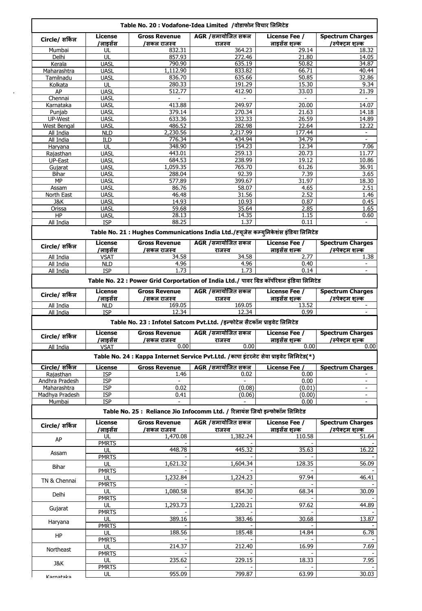| AGR /समायोजित सकल<br>License Fee /<br><b>Spectrum Charges</b><br><b>License</b><br><b>Gross Revenue</b><br>Circle/ सर्किल<br>लाइसेंस शल्क<br>/स्पेक्टम शल्क<br><u>/लाइसेंस</u><br>/सकल राजस्व<br>राजस्व<br>832.31<br>364.23<br>29.14<br>Mumbai<br>UL<br>857.93<br>272.46<br>21.80<br>Delhi<br>UL<br><b>UASL</b><br>790.90<br>635.19<br>50.82<br>Kerala<br>1,112.90<br>833.82<br>66.71<br>Maharashtra<br><b>UASL</b><br>50.85<br>836.70<br>635.66<br>Tamilnadu<br><b>UASL</b><br>UL<br>280.33<br>191.29<br>15.30<br>Kolkata<br>AP<br><b>UASL</b><br>412.90<br>33.03<br>512.77<br>UASI<br>Chennai<br>413.88<br>249.97<br>20.00<br>Karnataka<br><b>UASL</b><br><b>UASL</b><br>Punjab<br>379.14<br>270.34<br>21.63<br>UP-West<br>633.36<br>332.33<br>26.59<br><b>UASL</b><br>486.52<br>282.98<br>22.64<br>West Bengal<br><b>UASL</b><br>2,230.56<br>2,217.99<br>177.44<br>All India<br><b>NLD</b><br>34.79<br>All India<br>776.34<br>434.94<br>ILD<br>348.90<br>154.23<br>12.34<br>UL<br>Haryana<br>443.01<br>259.13<br>20.73<br>Rajasthan<br><b>UASL</b><br>238.99<br>19.12<br>UP-East<br><b>UASL</b><br>684.53<br><b>UASL</b><br>1,059.35<br>765.70<br>61.26<br>Gujarat<br>288.04<br>92.39<br>7.39<br><b>UASL</b><br>Bihar<br>MP<br>577.89<br>399.67<br>31.97<br><b>UASL</b><br><b>UASL</b><br>86.76<br>4.65<br>Assam<br>58.07<br>46.48<br>31.56<br>2.52<br><b>UASL</b><br>North East<br>14.93<br>10.93<br><b>UASL</b><br>0.87<br>J&K<br><b>UASL</b><br>59.68<br>35.64<br>2.85<br>Orissa<br>HP<br><b>UASL</b><br>28.13<br>14.35<br>1.15<br>88.25<br>1.37<br>All India<br><b>ISP</b><br>0.11<br>Table No. 21 : Hughes Communications India Ltd./ह्यूजेस कम्युनिकेशंस इंडिया लिमिटेड<br>AGR /समायोजित सकल<br><b>License Fee /</b><br><b>Spectrum Charges</b><br>License<br><b>Gross Revenue</b><br>Circle/ सर्किल<br><u>/लाइसेंस</u><br>लाइसेंस शल्क<br>/स्पेक्टम शल्क<br>/सकल राजस्व<br>राजस्व<br>All India<br><b>VSAT</b><br>34.58<br>34.58<br>2.77<br>0.40<br>All India<br><b>NLD</b><br>4.96<br>4.96<br>All India<br>1.73<br>1.73<br>0.14<br><b>ISP</b><br>Table No. 22 : Power Grid Corportation of India Ltd./ पावर ग्रिड कॉर्पोरेशन इंडिया लिमिटेड<br>AGR / समायोजित सकल<br><b>Spectrum Charges</b><br>License Fee /<br>License<br><b>Gross Revenue</b><br>Circle/ सर्किल<br><u>/लाइसेंस</u><br>लाइसेंस शल्क<br>/स्पेक्टम शल्क<br>/सकल राजस्व<br>राजस्व<br>169.05<br>All India<br><b>NLD</b><br>169.05<br>13.52<br>0.99<br>12.34<br>12.34<br>All India<br><b>ISP</b> |
|-------------------------------------------------------------------------------------------------------------------------------------------------------------------------------------------------------------------------------------------------------------------------------------------------------------------------------------------------------------------------------------------------------------------------------------------------------------------------------------------------------------------------------------------------------------------------------------------------------------------------------------------------------------------------------------------------------------------------------------------------------------------------------------------------------------------------------------------------------------------------------------------------------------------------------------------------------------------------------------------------------------------------------------------------------------------------------------------------------------------------------------------------------------------------------------------------------------------------------------------------------------------------------------------------------------------------------------------------------------------------------------------------------------------------------------------------------------------------------------------------------------------------------------------------------------------------------------------------------------------------------------------------------------------------------------------------------------------------------------------------------------------------------------------------------------------------------------------------------------------------------------------------------------------------------------------------------------------------------------------------------------------------------------------------------------------------------------------------------------------------------------------------------------------------------------------------------------------------------------------------------------------------------------------------------------------------------------------------------------------------------------------------------------------------------------------------------------------------|
|                                                                                                                                                                                                                                                                                                                                                                                                                                                                                                                                                                                                                                                                                                                                                                                                                                                                                                                                                                                                                                                                                                                                                                                                                                                                                                                                                                                                                                                                                                                                                                                                                                                                                                                                                                                                                                                                                                                                                                                                                                                                                                                                                                                                                                                                                                                                                                                                                                                                         |
|                                                                                                                                                                                                                                                                                                                                                                                                                                                                                                                                                                                                                                                                                                                                                                                                                                                                                                                                                                                                                                                                                                                                                                                                                                                                                                                                                                                                                                                                                                                                                                                                                                                                                                                                                                                                                                                                                                                                                                                                                                                                                                                                                                                                                                                                                                                                                                                                                                                                         |
|                                                                                                                                                                                                                                                                                                                                                                                                                                                                                                                                                                                                                                                                                                                                                                                                                                                                                                                                                                                                                                                                                                                                                                                                                                                                                                                                                                                                                                                                                                                                                                                                                                                                                                                                                                                                                                                                                                                                                                                                                                                                                                                                                                                                                                                                                                                                                                                                                                                                         |
|                                                                                                                                                                                                                                                                                                                                                                                                                                                                                                                                                                                                                                                                                                                                                                                                                                                                                                                                                                                                                                                                                                                                                                                                                                                                                                                                                                                                                                                                                                                                                                                                                                                                                                                                                                                                                                                                                                                                                                                                                                                                                                                                                                                                                                                                                                                                                                                                                                                                         |
|                                                                                                                                                                                                                                                                                                                                                                                                                                                                                                                                                                                                                                                                                                                                                                                                                                                                                                                                                                                                                                                                                                                                                                                                                                                                                                                                                                                                                                                                                                                                                                                                                                                                                                                                                                                                                                                                                                                                                                                                                                                                                                                                                                                                                                                                                                                                                                                                                                                                         |
|                                                                                                                                                                                                                                                                                                                                                                                                                                                                                                                                                                                                                                                                                                                                                                                                                                                                                                                                                                                                                                                                                                                                                                                                                                                                                                                                                                                                                                                                                                                                                                                                                                                                                                                                                                                                                                                                                                                                                                                                                                                                                                                                                                                                                                                                                                                                                                                                                                                                         |
|                                                                                                                                                                                                                                                                                                                                                                                                                                                                                                                                                                                                                                                                                                                                                                                                                                                                                                                                                                                                                                                                                                                                                                                                                                                                                                                                                                                                                                                                                                                                                                                                                                                                                                                                                                                                                                                                                                                                                                                                                                                                                                                                                                                                                                                                                                                                                                                                                                                                         |
|                                                                                                                                                                                                                                                                                                                                                                                                                                                                                                                                                                                                                                                                                                                                                                                                                                                                                                                                                                                                                                                                                                                                                                                                                                                                                                                                                                                                                                                                                                                                                                                                                                                                                                                                                                                                                                                                                                                                                                                                                                                                                                                                                                                                                                                                                                                                                                                                                                                                         |
|                                                                                                                                                                                                                                                                                                                                                                                                                                                                                                                                                                                                                                                                                                                                                                                                                                                                                                                                                                                                                                                                                                                                                                                                                                                                                                                                                                                                                                                                                                                                                                                                                                                                                                                                                                                                                                                                                                                                                                                                                                                                                                                                                                                                                                                                                                                                                                                                                                                                         |
|                                                                                                                                                                                                                                                                                                                                                                                                                                                                                                                                                                                                                                                                                                                                                                                                                                                                                                                                                                                                                                                                                                                                                                                                                                                                                                                                                                                                                                                                                                                                                                                                                                                                                                                                                                                                                                                                                                                                                                                                                                                                                                                                                                                                                                                                                                                                                                                                                                                                         |
|                                                                                                                                                                                                                                                                                                                                                                                                                                                                                                                                                                                                                                                                                                                                                                                                                                                                                                                                                                                                                                                                                                                                                                                                                                                                                                                                                                                                                                                                                                                                                                                                                                                                                                                                                                                                                                                                                                                                                                                                                                                                                                                                                                                                                                                                                                                                                                                                                                                                         |
|                                                                                                                                                                                                                                                                                                                                                                                                                                                                                                                                                                                                                                                                                                                                                                                                                                                                                                                                                                                                                                                                                                                                                                                                                                                                                                                                                                                                                                                                                                                                                                                                                                                                                                                                                                                                                                                                                                                                                                                                                                                                                                                                                                                                                                                                                                                                                                                                                                                                         |
|                                                                                                                                                                                                                                                                                                                                                                                                                                                                                                                                                                                                                                                                                                                                                                                                                                                                                                                                                                                                                                                                                                                                                                                                                                                                                                                                                                                                                                                                                                                                                                                                                                                                                                                                                                                                                                                                                                                                                                                                                                                                                                                                                                                                                                                                                                                                                                                                                                                                         |
|                                                                                                                                                                                                                                                                                                                                                                                                                                                                                                                                                                                                                                                                                                                                                                                                                                                                                                                                                                                                                                                                                                                                                                                                                                                                                                                                                                                                                                                                                                                                                                                                                                                                                                                                                                                                                                                                                                                                                                                                                                                                                                                                                                                                                                                                                                                                                                                                                                                                         |
|                                                                                                                                                                                                                                                                                                                                                                                                                                                                                                                                                                                                                                                                                                                                                                                                                                                                                                                                                                                                                                                                                                                                                                                                                                                                                                                                                                                                                                                                                                                                                                                                                                                                                                                                                                                                                                                                                                                                                                                                                                                                                                                                                                                                                                                                                                                                                                                                                                                                         |
|                                                                                                                                                                                                                                                                                                                                                                                                                                                                                                                                                                                                                                                                                                                                                                                                                                                                                                                                                                                                                                                                                                                                                                                                                                                                                                                                                                                                                                                                                                                                                                                                                                                                                                                                                                                                                                                                                                                                                                                                                                                                                                                                                                                                                                                                                                                                                                                                                                                                         |
|                                                                                                                                                                                                                                                                                                                                                                                                                                                                                                                                                                                                                                                                                                                                                                                                                                                                                                                                                                                                                                                                                                                                                                                                                                                                                                                                                                                                                                                                                                                                                                                                                                                                                                                                                                                                                                                                                                                                                                                                                                                                                                                                                                                                                                                                                                                                                                                                                                                                         |
|                                                                                                                                                                                                                                                                                                                                                                                                                                                                                                                                                                                                                                                                                                                                                                                                                                                                                                                                                                                                                                                                                                                                                                                                                                                                                                                                                                                                                                                                                                                                                                                                                                                                                                                                                                                                                                                                                                                                                                                                                                                                                                                                                                                                                                                                                                                                                                                                                                                                         |
|                                                                                                                                                                                                                                                                                                                                                                                                                                                                                                                                                                                                                                                                                                                                                                                                                                                                                                                                                                                                                                                                                                                                                                                                                                                                                                                                                                                                                                                                                                                                                                                                                                                                                                                                                                                                                                                                                                                                                                                                                                                                                                                                                                                                                                                                                                                                                                                                                                                                         |
|                                                                                                                                                                                                                                                                                                                                                                                                                                                                                                                                                                                                                                                                                                                                                                                                                                                                                                                                                                                                                                                                                                                                                                                                                                                                                                                                                                                                                                                                                                                                                                                                                                                                                                                                                                                                                                                                                                                                                                                                                                                                                                                                                                                                                                                                                                                                                                                                                                                                         |
|                                                                                                                                                                                                                                                                                                                                                                                                                                                                                                                                                                                                                                                                                                                                                                                                                                                                                                                                                                                                                                                                                                                                                                                                                                                                                                                                                                                                                                                                                                                                                                                                                                                                                                                                                                                                                                                                                                                                                                                                                                                                                                                                                                                                                                                                                                                                                                                                                                                                         |
|                                                                                                                                                                                                                                                                                                                                                                                                                                                                                                                                                                                                                                                                                                                                                                                                                                                                                                                                                                                                                                                                                                                                                                                                                                                                                                                                                                                                                                                                                                                                                                                                                                                                                                                                                                                                                                                                                                                                                                                                                                                                                                                                                                                                                                                                                                                                                                                                                                                                         |
|                                                                                                                                                                                                                                                                                                                                                                                                                                                                                                                                                                                                                                                                                                                                                                                                                                                                                                                                                                                                                                                                                                                                                                                                                                                                                                                                                                                                                                                                                                                                                                                                                                                                                                                                                                                                                                                                                                                                                                                                                                                                                                                                                                                                                                                                                                                                                                                                                                                                         |
|                                                                                                                                                                                                                                                                                                                                                                                                                                                                                                                                                                                                                                                                                                                                                                                                                                                                                                                                                                                                                                                                                                                                                                                                                                                                                                                                                                                                                                                                                                                                                                                                                                                                                                                                                                                                                                                                                                                                                                                                                                                                                                                                                                                                                                                                                                                                                                                                                                                                         |
|                                                                                                                                                                                                                                                                                                                                                                                                                                                                                                                                                                                                                                                                                                                                                                                                                                                                                                                                                                                                                                                                                                                                                                                                                                                                                                                                                                                                                                                                                                                                                                                                                                                                                                                                                                                                                                                                                                                                                                                                                                                                                                                                                                                                                                                                                                                                                                                                                                                                         |
|                                                                                                                                                                                                                                                                                                                                                                                                                                                                                                                                                                                                                                                                                                                                                                                                                                                                                                                                                                                                                                                                                                                                                                                                                                                                                                                                                                                                                                                                                                                                                                                                                                                                                                                                                                                                                                                                                                                                                                                                                                                                                                                                                                                                                                                                                                                                                                                                                                                                         |
|                                                                                                                                                                                                                                                                                                                                                                                                                                                                                                                                                                                                                                                                                                                                                                                                                                                                                                                                                                                                                                                                                                                                                                                                                                                                                                                                                                                                                                                                                                                                                                                                                                                                                                                                                                                                                                                                                                                                                                                                                                                                                                                                                                                                                                                                                                                                                                                                                                                                         |
|                                                                                                                                                                                                                                                                                                                                                                                                                                                                                                                                                                                                                                                                                                                                                                                                                                                                                                                                                                                                                                                                                                                                                                                                                                                                                                                                                                                                                                                                                                                                                                                                                                                                                                                                                                                                                                                                                                                                                                                                                                                                                                                                                                                                                                                                                                                                                                                                                                                                         |
|                                                                                                                                                                                                                                                                                                                                                                                                                                                                                                                                                                                                                                                                                                                                                                                                                                                                                                                                                                                                                                                                                                                                                                                                                                                                                                                                                                                                                                                                                                                                                                                                                                                                                                                                                                                                                                                                                                                                                                                                                                                                                                                                                                                                                                                                                                                                                                                                                                                                         |
|                                                                                                                                                                                                                                                                                                                                                                                                                                                                                                                                                                                                                                                                                                                                                                                                                                                                                                                                                                                                                                                                                                                                                                                                                                                                                                                                                                                                                                                                                                                                                                                                                                                                                                                                                                                                                                                                                                                                                                                                                                                                                                                                                                                                                                                                                                                                                                                                                                                                         |
|                                                                                                                                                                                                                                                                                                                                                                                                                                                                                                                                                                                                                                                                                                                                                                                                                                                                                                                                                                                                                                                                                                                                                                                                                                                                                                                                                                                                                                                                                                                                                                                                                                                                                                                                                                                                                                                                                                                                                                                                                                                                                                                                                                                                                                                                                                                                                                                                                                                                         |
|                                                                                                                                                                                                                                                                                                                                                                                                                                                                                                                                                                                                                                                                                                                                                                                                                                                                                                                                                                                                                                                                                                                                                                                                                                                                                                                                                                                                                                                                                                                                                                                                                                                                                                                                                                                                                                                                                                                                                                                                                                                                                                                                                                                                                                                                                                                                                                                                                                                                         |
|                                                                                                                                                                                                                                                                                                                                                                                                                                                                                                                                                                                                                                                                                                                                                                                                                                                                                                                                                                                                                                                                                                                                                                                                                                                                                                                                                                                                                                                                                                                                                                                                                                                                                                                                                                                                                                                                                                                                                                                                                                                                                                                                                                                                                                                                                                                                                                                                                                                                         |
|                                                                                                                                                                                                                                                                                                                                                                                                                                                                                                                                                                                                                                                                                                                                                                                                                                                                                                                                                                                                                                                                                                                                                                                                                                                                                                                                                                                                                                                                                                                                                                                                                                                                                                                                                                                                                                                                                                                                                                                                                                                                                                                                                                                                                                                                                                                                                                                                                                                                         |
|                                                                                                                                                                                                                                                                                                                                                                                                                                                                                                                                                                                                                                                                                                                                                                                                                                                                                                                                                                                                                                                                                                                                                                                                                                                                                                                                                                                                                                                                                                                                                                                                                                                                                                                                                                                                                                                                                                                                                                                                                                                                                                                                                                                                                                                                                                                                                                                                                                                                         |
|                                                                                                                                                                                                                                                                                                                                                                                                                                                                                                                                                                                                                                                                                                                                                                                                                                                                                                                                                                                                                                                                                                                                                                                                                                                                                                                                                                                                                                                                                                                                                                                                                                                                                                                                                                                                                                                                                                                                                                                                                                                                                                                                                                                                                                                                                                                                                                                                                                                                         |
|                                                                                                                                                                                                                                                                                                                                                                                                                                                                                                                                                                                                                                                                                                                                                                                                                                                                                                                                                                                                                                                                                                                                                                                                                                                                                                                                                                                                                                                                                                                                                                                                                                                                                                                                                                                                                                                                                                                                                                                                                                                                                                                                                                                                                                                                                                                                                                                                                                                                         |
|                                                                                                                                                                                                                                                                                                                                                                                                                                                                                                                                                                                                                                                                                                                                                                                                                                                                                                                                                                                                                                                                                                                                                                                                                                                                                                                                                                                                                                                                                                                                                                                                                                                                                                                                                                                                                                                                                                                                                                                                                                                                                                                                                                                                                                                                                                                                                                                                                                                                         |
|                                                                                                                                                                                                                                                                                                                                                                                                                                                                                                                                                                                                                                                                                                                                                                                                                                                                                                                                                                                                                                                                                                                                                                                                                                                                                                                                                                                                                                                                                                                                                                                                                                                                                                                                                                                                                                                                                                                                                                                                                                                                                                                                                                                                                                                                                                                                                                                                                                                                         |
|                                                                                                                                                                                                                                                                                                                                                                                                                                                                                                                                                                                                                                                                                                                                                                                                                                                                                                                                                                                                                                                                                                                                                                                                                                                                                                                                                                                                                                                                                                                                                                                                                                                                                                                                                                                                                                                                                                                                                                                                                                                                                                                                                                                                                                                                                                                                                                                                                                                                         |
|                                                                                                                                                                                                                                                                                                                                                                                                                                                                                                                                                                                                                                                                                                                                                                                                                                                                                                                                                                                                                                                                                                                                                                                                                                                                                                                                                                                                                                                                                                                                                                                                                                                                                                                                                                                                                                                                                                                                                                                                                                                                                                                                                                                                                                                                                                                                                                                                                                                                         |
|                                                                                                                                                                                                                                                                                                                                                                                                                                                                                                                                                                                                                                                                                                                                                                                                                                                                                                                                                                                                                                                                                                                                                                                                                                                                                                                                                                                                                                                                                                                                                                                                                                                                                                                                                                                                                                                                                                                                                                                                                                                                                                                                                                                                                                                                                                                                                                                                                                                                         |
| Table No. 23 : Infotel Satcom Pvt.Ltd. /इन्फोटेल सैटकॉम प्राइवेट लिमिटेड                                                                                                                                                                                                                                                                                                                                                                                                                                                                                                                                                                                                                                                                                                                                                                                                                                                                                                                                                                                                                                                                                                                                                                                                                                                                                                                                                                                                                                                                                                                                                                                                                                                                                                                                                                                                                                                                                                                                                                                                                                                                                                                                                                                                                                                                                                                                                                                                |
| AGR /समायोजित सकल<br><b>License Fee /</b>                                                                                                                                                                                                                                                                                                                                                                                                                                                                                                                                                                                                                                                                                                                                                                                                                                                                                                                                                                                                                                                                                                                                                                                                                                                                                                                                                                                                                                                                                                                                                                                                                                                                                                                                                                                                                                                                                                                                                                                                                                                                                                                                                                                                                                                                                                                                                                                                                               |
| <b>Spectrum Charges</b><br>License<br><b>Gross Revenue</b><br>Circle/ सर्किल                                                                                                                                                                                                                                                                                                                                                                                                                                                                                                                                                                                                                                                                                                                                                                                                                                                                                                                                                                                                                                                                                                                                                                                                                                                                                                                                                                                                                                                                                                                                                                                                                                                                                                                                                                                                                                                                                                                                                                                                                                                                                                                                                                                                                                                                                                                                                                                            |
| /लाइसेंस<br>लाइसेंस शल्क<br>/स्पेक्टम शल्क<br>/सकल राजस्व<br>राजस्व<br>0.00                                                                                                                                                                                                                                                                                                                                                                                                                                                                                                                                                                                                                                                                                                                                                                                                                                                                                                                                                                                                                                                                                                                                                                                                                                                                                                                                                                                                                                                                                                                                                                                                                                                                                                                                                                                                                                                                                                                                                                                                                                                                                                                                                                                                                                                                                                                                                                                             |
| 0.00<br>0.00<br>All India<br><b>VSAT</b>                                                                                                                                                                                                                                                                                                                                                                                                                                                                                                                                                                                                                                                                                                                                                                                                                                                                                                                                                                                                                                                                                                                                                                                                                                                                                                                                                                                                                                                                                                                                                                                                                                                                                                                                                                                                                                                                                                                                                                                                                                                                                                                                                                                                                                                                                                                                                                                                                                |
| Table No. 24 : Kappa Internet Service Pvt.Ltd. / कापा इंटरनेट सेवा प्राइवेट लिमिटेड(*)                                                                                                                                                                                                                                                                                                                                                                                                                                                                                                                                                                                                                                                                                                                                                                                                                                                                                                                                                                                                                                                                                                                                                                                                                                                                                                                                                                                                                                                                                                                                                                                                                                                                                                                                                                                                                                                                                                                                                                                                                                                                                                                                                                                                                                                                                                                                                                                  |
|                                                                                                                                                                                                                                                                                                                                                                                                                                                                                                                                                                                                                                                                                                                                                                                                                                                                                                                                                                                                                                                                                                                                                                                                                                                                                                                                                                                                                                                                                                                                                                                                                                                                                                                                                                                                                                                                                                                                                                                                                                                                                                                                                                                                                                                                                                                                                                                                                                                                         |
| Circle/ सर्किल<br>AGR /समायोजित सकल<br><b>Gross Revenue</b><br>License Fee<br><b>License</b><br><b>Spectrum Charges</b>                                                                                                                                                                                                                                                                                                                                                                                                                                                                                                                                                                                                                                                                                                                                                                                                                                                                                                                                                                                                                                                                                                                                                                                                                                                                                                                                                                                                                                                                                                                                                                                                                                                                                                                                                                                                                                                                                                                                                                                                                                                                                                                                                                                                                                                                                                                                                 |
| 1.46<br>0.00<br><b>ISP</b><br>0.02<br>Rajasthan                                                                                                                                                                                                                                                                                                                                                                                                                                                                                                                                                                                                                                                                                                                                                                                                                                                                                                                                                                                                                                                                                                                                                                                                                                                                                                                                                                                                                                                                                                                                                                                                                                                                                                                                                                                                                                                                                                                                                                                                                                                                                                                                                                                                                                                                                                                                                                                                                         |
| 0.00<br>Andhra Pradesh<br>12P                                                                                                                                                                                                                                                                                                                                                                                                                                                                                                                                                                                                                                                                                                                                                                                                                                                                                                                                                                                                                                                                                                                                                                                                                                                                                                                                                                                                                                                                                                                                                                                                                                                                                                                                                                                                                                                                                                                                                                                                                                                                                                                                                                                                                                                                                                                                                                                                                                           |
| <b>ISP</b><br>0.02<br>(0.08)<br>(0.01)<br>Maharashtra                                                                                                                                                                                                                                                                                                                                                                                                                                                                                                                                                                                                                                                                                                                                                                                                                                                                                                                                                                                                                                                                                                                                                                                                                                                                                                                                                                                                                                                                                                                                                                                                                                                                                                                                                                                                                                                                                                                                                                                                                                                                                                                                                                                                                                                                                                                                                                                                                   |
| Madhya Pradesh<br><b>ISP</b><br>0.41<br>(0.06)<br>(0.00)                                                                                                                                                                                                                                                                                                                                                                                                                                                                                                                                                                                                                                                                                                                                                                                                                                                                                                                                                                                                                                                                                                                                                                                                                                                                                                                                                                                                                                                                                                                                                                                                                                                                                                                                                                                                                                                                                                                                                                                                                                                                                                                                                                                                                                                                                                                                                                                                                |
| Mumbai<br>0.00<br><b>ISP</b>                                                                                                                                                                                                                                                                                                                                                                                                                                                                                                                                                                                                                                                                                                                                                                                                                                                                                                                                                                                                                                                                                                                                                                                                                                                                                                                                                                                                                                                                                                                                                                                                                                                                                                                                                                                                                                                                                                                                                                                                                                                                                                                                                                                                                                                                                                                                                                                                                                            |
| Table No. 25 : Reliance Jio Infocomm Ltd. / रिलायंस जियो इन्फोकॉम लिमिटेड                                                                                                                                                                                                                                                                                                                                                                                                                                                                                                                                                                                                                                                                                                                                                                                                                                                                                                                                                                                                                                                                                                                                                                                                                                                                                                                                                                                                                                                                                                                                                                                                                                                                                                                                                                                                                                                                                                                                                                                                                                                                                                                                                                                                                                                                                                                                                                                               |
|                                                                                                                                                                                                                                                                                                                                                                                                                                                                                                                                                                                                                                                                                                                                                                                                                                                                                                                                                                                                                                                                                                                                                                                                                                                                                                                                                                                                                                                                                                                                                                                                                                                                                                                                                                                                                                                                                                                                                                                                                                                                                                                                                                                                                                                                                                                                                                                                                                                                         |
| AGR / समायोजित सकल<br><b>License Fee /</b><br><b>Spectrum Charges</b><br><b>Gross Revenue</b><br>License<br>Circle/ सर्किल                                                                                                                                                                                                                                                                                                                                                                                                                                                                                                                                                                                                                                                                                                                                                                                                                                                                                                                                                                                                                                                                                                                                                                                                                                                                                                                                                                                                                                                                                                                                                                                                                                                                                                                                                                                                                                                                                                                                                                                                                                                                                                                                                                                                                                                                                                                                              |
| <u>/लाइसेंस</u><br><u>लाइसेंस शल्क</u><br>/स्पेक्ट्म शल्क<br>/सकल राजस्व<br>राजस्व                                                                                                                                                                                                                                                                                                                                                                                                                                                                                                                                                                                                                                                                                                                                                                                                                                                                                                                                                                                                                                                                                                                                                                                                                                                                                                                                                                                                                                                                                                                                                                                                                                                                                                                                                                                                                                                                                                                                                                                                                                                                                                                                                                                                                                                                                                                                                                                      |
| 1,470.08<br>1,382.24<br>110.58<br>UL<br>AP                                                                                                                                                                                                                                                                                                                                                                                                                                                                                                                                                                                                                                                                                                                                                                                                                                                                                                                                                                                                                                                                                                                                                                                                                                                                                                                                                                                                                                                                                                                                                                                                                                                                                                                                                                                                                                                                                                                                                                                                                                                                                                                                                                                                                                                                                                                                                                                                                              |
| <b>PMRTS</b>                                                                                                                                                                                                                                                                                                                                                                                                                                                                                                                                                                                                                                                                                                                                                                                                                                                                                                                                                                                                                                                                                                                                                                                                                                                                                                                                                                                                                                                                                                                                                                                                                                                                                                                                                                                                                                                                                                                                                                                                                                                                                                                                                                                                                                                                                                                                                                                                                                                            |
| 448.78<br>445.32<br>35.63<br>UL<br>Assam                                                                                                                                                                                                                                                                                                                                                                                                                                                                                                                                                                                                                                                                                                                                                                                                                                                                                                                                                                                                                                                                                                                                                                                                                                                                                                                                                                                                                                                                                                                                                                                                                                                                                                                                                                                                                                                                                                                                                                                                                                                                                                                                                                                                                                                                                                                                                                                                                                |
| <b>PMRTS</b>                                                                                                                                                                                                                                                                                                                                                                                                                                                                                                                                                                                                                                                                                                                                                                                                                                                                                                                                                                                                                                                                                                                                                                                                                                                                                                                                                                                                                                                                                                                                                                                                                                                                                                                                                                                                                                                                                                                                                                                                                                                                                                                                                                                                                                                                                                                                                                                                                                                            |
| 1,621.32<br>128.35<br>1,604.34<br>UL                                                                                                                                                                                                                                                                                                                                                                                                                                                                                                                                                                                                                                                                                                                                                                                                                                                                                                                                                                                                                                                                                                                                                                                                                                                                                                                                                                                                                                                                                                                                                                                                                                                                                                                                                                                                                                                                                                                                                                                                                                                                                                                                                                                                                                                                                                                                                                                                                                    |
| Bihar<br><b>PMRTS</b>                                                                                                                                                                                                                                                                                                                                                                                                                                                                                                                                                                                                                                                                                                                                                                                                                                                                                                                                                                                                                                                                                                                                                                                                                                                                                                                                                                                                                                                                                                                                                                                                                                                                                                                                                                                                                                                                                                                                                                                                                                                                                                                                                                                                                                                                                                                                                                                                                                                   |
| 1,232.84<br>1,224.23<br>97.94<br>UL                                                                                                                                                                                                                                                                                                                                                                                                                                                                                                                                                                                                                                                                                                                                                                                                                                                                                                                                                                                                                                                                                                                                                                                                                                                                                                                                                                                                                                                                                                                                                                                                                                                                                                                                                                                                                                                                                                                                                                                                                                                                                                                                                                                                                                                                                                                                                                                                                                     |
| TN & Chennai<br><b>PMRTS</b>                                                                                                                                                                                                                                                                                                                                                                                                                                                                                                                                                                                                                                                                                                                                                                                                                                                                                                                                                                                                                                                                                                                                                                                                                                                                                                                                                                                                                                                                                                                                                                                                                                                                                                                                                                                                                                                                                                                                                                                                                                                                                                                                                                                                                                                                                                                                                                                                                                            |
|                                                                                                                                                                                                                                                                                                                                                                                                                                                                                                                                                                                                                                                                                                                                                                                                                                                                                                                                                                                                                                                                                                                                                                                                                                                                                                                                                                                                                                                                                                                                                                                                                                                                                                                                                                                                                                                                                                                                                                                                                                                                                                                                                                                                                                                                                                                                                                                                                                                                         |
|                                                                                                                                                                                                                                                                                                                                                                                                                                                                                                                                                                                                                                                                                                                                                                                                                                                                                                                                                                                                                                                                                                                                                                                                                                                                                                                                                                                                                                                                                                                                                                                                                                                                                                                                                                                                                                                                                                                                                                                                                                                                                                                                                                                                                                                                                                                                                                                                                                                                         |
| 1,080.58<br>854.30<br>68.34<br>UL<br>Delhi                                                                                                                                                                                                                                                                                                                                                                                                                                                                                                                                                                                                                                                                                                                                                                                                                                                                                                                                                                                                                                                                                                                                                                                                                                                                                                                                                                                                                                                                                                                                                                                                                                                                                                                                                                                                                                                                                                                                                                                                                                                                                                                                                                                                                                                                                                                                                                                                                              |
| <b>PMRTS</b>                                                                                                                                                                                                                                                                                                                                                                                                                                                                                                                                                                                                                                                                                                                                                                                                                                                                                                                                                                                                                                                                                                                                                                                                                                                                                                                                                                                                                                                                                                                                                                                                                                                                                                                                                                                                                                                                                                                                                                                                                                                                                                                                                                                                                                                                                                                                                                                                                                                            |
| 1,293.73<br>1,220.21<br>97.62<br>UL<br>Gujarat                                                                                                                                                                                                                                                                                                                                                                                                                                                                                                                                                                                                                                                                                                                                                                                                                                                                                                                                                                                                                                                                                                                                                                                                                                                                                                                                                                                                                                                                                                                                                                                                                                                                                                                                                                                                                                                                                                                                                                                                                                                                                                                                                                                                                                                                                                                                                                                                                          |
| <b>PMRTS</b>                                                                                                                                                                                                                                                                                                                                                                                                                                                                                                                                                                                                                                                                                                                                                                                                                                                                                                                                                                                                                                                                                                                                                                                                                                                                                                                                                                                                                                                                                                                                                                                                                                                                                                                                                                                                                                                                                                                                                                                                                                                                                                                                                                                                                                                                                                                                                                                                                                                            |
| 389.16<br>383.46<br>30.68<br>UL<br>Haryana                                                                                                                                                                                                                                                                                                                                                                                                                                                                                                                                                                                                                                                                                                                                                                                                                                                                                                                                                                                                                                                                                                                                                                                                                                                                                                                                                                                                                                                                                                                                                                                                                                                                                                                                                                                                                                                                                                                                                                                                                                                                                                                                                                                                                                                                                                                                                                                                                              |
| <b>PMRTS</b>                                                                                                                                                                                                                                                                                                                                                                                                                                                                                                                                                                                                                                                                                                                                                                                                                                                                                                                                                                                                                                                                                                                                                                                                                                                                                                                                                                                                                                                                                                                                                                                                                                                                                                                                                                                                                                                                                                                                                                                                                                                                                                                                                                                                                                                                                                                                                                                                                                                            |
| 188.56<br>185.48<br>14.84<br>UL<br>HP                                                                                                                                                                                                                                                                                                                                                                                                                                                                                                                                                                                                                                                                                                                                                                                                                                                                                                                                                                                                                                                                                                                                                                                                                                                                                                                                                                                                                                                                                                                                                                                                                                                                                                                                                                                                                                                                                                                                                                                                                                                                                                                                                                                                                                                                                                                                                                                                                                   |
| <b>PMRTS</b>                                                                                                                                                                                                                                                                                                                                                                                                                                                                                                                                                                                                                                                                                                                                                                                                                                                                                                                                                                                                                                                                                                                                                                                                                                                                                                                                                                                                                                                                                                                                                                                                                                                                                                                                                                                                                                                                                                                                                                                                                                                                                                                                                                                                                                                                                                                                                                                                                                                            |
| 214.37<br>212.40<br>16.99<br>UL<br>Northeast                                                                                                                                                                                                                                                                                                                                                                                                                                                                                                                                                                                                                                                                                                                                                                                                                                                                                                                                                                                                                                                                                                                                                                                                                                                                                                                                                                                                                                                                                                                                                                                                                                                                                                                                                                                                                                                                                                                                                                                                                                                                                                                                                                                                                                                                                                                                                                                                                            |
| <b>PMRTS</b>                                                                                                                                                                                                                                                                                                                                                                                                                                                                                                                                                                                                                                                                                                                                                                                                                                                                                                                                                                                                                                                                                                                                                                                                                                                                                                                                                                                                                                                                                                                                                                                                                                                                                                                                                                                                                                                                                                                                                                                                                                                                                                                                                                                                                                                                                                                                                                                                                                                            |
| 235.62<br>229.15<br>18.33<br>UL                                                                                                                                                                                                                                                                                                                                                                                                                                                                                                                                                                                                                                                                                                                                                                                                                                                                                                                                                                                                                                                                                                                                                                                                                                                                                                                                                                                                                                                                                                                                                                                                                                                                                                                                                                                                                                                                                                                                                                                                                                                                                                                                                                                                                                                                                                                                                                                                                                         |
| J&K<br><b>PMRTS</b><br>955.09<br>63.99<br>799.87<br>UL                                                                                                                                                                                                                                                                                                                                                                                                                                                                                                                                                                                                                                                                                                                                                                                                                                                                                                                                                                                                                                                                                                                                                                                                                                                                                                                                                                                                                                                                                                                                                                                                                                                                                                                                                                                                                                                                                                                                                                                                                                                                                                                                                                                                                                                                                                                                                                                                                  |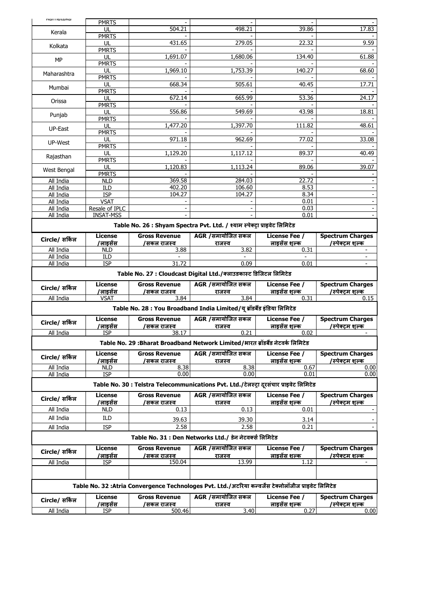| namatana                                         | <b>PMRTS</b>           |                       |                                                                                                      |                              |                         |  |  |  |
|--------------------------------------------------|------------------------|-----------------------|------------------------------------------------------------------------------------------------------|------------------------------|-------------------------|--|--|--|
|                                                  | UL                     | 504.21                | 498.21                                                                                               | 39.86                        | 17.83                   |  |  |  |
| Kerala                                           | <b>PMRTS</b>           |                       |                                                                                                      |                              |                         |  |  |  |
| Kolkata                                          | UL                     | 431.65                | 279.05                                                                                               | 22.32                        | 9.59                    |  |  |  |
|                                                  | <b>PMRTS</b>           |                       |                                                                                                      |                              |                         |  |  |  |
| MP                                               | UL                     | 1,691.07              | 1,680.06                                                                                             | 134.40                       | 61.88                   |  |  |  |
|                                                  | <b>PMRTS</b>           |                       |                                                                                                      |                              |                         |  |  |  |
| Maharashtra                                      | UL                     | 1,969.10              | 1,753.39                                                                                             | 140.27                       | 68.60                   |  |  |  |
|                                                  | <b>PMRTS</b>           |                       |                                                                                                      |                              | 17.71                   |  |  |  |
| Mumbai                                           | UL<br><b>PMRTS</b>     | 668.34                | 505.61                                                                                               | 40.45                        |                         |  |  |  |
|                                                  | UL                     | 672.14                | 665.99                                                                                               | 53.36                        | 24.17                   |  |  |  |
| Orissa                                           | <b>PMRTS</b>           |                       |                                                                                                      |                              |                         |  |  |  |
|                                                  | UL                     | 556.86                | 549.69                                                                                               | 43.98                        | 18.81                   |  |  |  |
| Punjab                                           | <b>PMRTS</b>           |                       |                                                                                                      |                              |                         |  |  |  |
| UP-East                                          | UL                     | $1,477.\overline{20}$ | 1,397.70                                                                                             | 111.82                       | 48.61                   |  |  |  |
|                                                  | <b>PMRTS</b>           |                       |                                                                                                      |                              |                         |  |  |  |
| UP-West                                          | UL                     | 971.18                | 962.69                                                                                               | 77.02                        | 33.08                   |  |  |  |
|                                                  | <b>PMRTS</b>           |                       |                                                                                                      |                              |                         |  |  |  |
| Rajasthan                                        | UL                     | 1,129.20              | $1,11\overline{7.12}$                                                                                | 89.37                        | 40.49                   |  |  |  |
|                                                  | <b>PMRTS</b><br>UL     | 1,120.83              | 1,113.24                                                                                             | 89.06                        | 39.07                   |  |  |  |
| West Bengal                                      | <b>PMRTS</b>           |                       |                                                                                                      |                              |                         |  |  |  |
| All India                                        | <b>NLD</b>             | 369.58                | 284.03                                                                                               | 22.72                        |                         |  |  |  |
| All India                                        | ILD                    | 402.20                | 106.60                                                                                               | 8.53                         |                         |  |  |  |
| All India                                        | <b>ISP</b>             | 104.27                | 104.27                                                                                               | 8.34                         |                         |  |  |  |
| All India                                        | <b>VSAT</b>            |                       |                                                                                                      | 0.01                         |                         |  |  |  |
| All India                                        | Resale of IPLC         |                       |                                                                                                      | 0.03                         |                         |  |  |  |
| All India                                        | <b>INSAT-MSS</b>       |                       |                                                                                                      | 0.01                         |                         |  |  |  |
|                                                  |                        |                       | Table No. 26 : Shyam Spectra Pvt. Ltd. / श्याम स्पेक्ट्रा प्राइवेट लिमिटेड                           |                              |                         |  |  |  |
|                                                  |                        | <b>Gross Revenue</b>  |                                                                                                      | License Fee /                | <b>Spectrum Charges</b> |  |  |  |
| Circle/ सर्किल                                   | <b>License</b>         |                       | AGR /समायोजित सकल                                                                                    |                              |                         |  |  |  |
| All India                                        | /लाडसेंस<br><b>NLD</b> | /सकल राजस्व<br>3.88   | राजस्व<br>3.82                                                                                       | लाइसेंस शल्क<br>0.31         | /स्पेक्टम शल्क          |  |  |  |
| All India                                        | ILD                    |                       |                                                                                                      |                              | ÷                       |  |  |  |
|                                                  |                        |                       |                                                                                                      |                              |                         |  |  |  |
| 31.72<br>0.09<br>All India<br><b>ISP</b><br>0.01 |                        |                       |                                                                                                      |                              |                         |  |  |  |
|                                                  |                        |                       |                                                                                                      |                              |                         |  |  |  |
|                                                  |                        |                       | Table No. 27 : Cloudcast Digital Ltd./क्लाउडकास्ट डिजिटल लिमिटेड                                     |                              |                         |  |  |  |
|                                                  | <b>License</b>         | <b>Gross Revenue</b>  | AGR /समायोजित सकल                                                                                    | <b>License Fee /</b>         | <b>Spectrum Charges</b> |  |  |  |
| Circle/ सर्किल                                   | /लाइसेंस               | /सकल राजस्व           | राजस्व                                                                                               | लाइसेंस शल्क                 | /स्पेक्टम शल्क          |  |  |  |
| All India                                        | <b>VSAT</b>            | 3.84                  | 3.84                                                                                                 | 0.31                         | 0.15                    |  |  |  |
|                                                  |                        |                       | Table No. 28 : You Broadband India Limited/यू ब्रॉडबैंड इंडिया लिमिटेड                               |                              |                         |  |  |  |
|                                                  |                        |                       |                                                                                                      |                              |                         |  |  |  |
| Circle/ सर्किल                                   | License                | <b>Gross Revenue</b>  | AGR /समायोजित सकल                                                                                    | <b>License Fee /</b>         | <b>Spectrum Charges</b> |  |  |  |
|                                                  | /लाइसेंस<br><b>ISP</b> | /सकल राजस्व<br>38.17  | राजस्व<br>0.21                                                                                       | लाइ <u>सेंस शल्क</u><br>0.02 | /स्पेक्टम शल्क          |  |  |  |
| All India                                        |                        |                       |                                                                                                      |                              |                         |  |  |  |
|                                                  |                        |                       | Table No. 29 :Bharat Broadband Network Limited/भारत ब्रॉडबैंड नेटवर्क लिमिटेड                        |                              |                         |  |  |  |
|                                                  | License                | <b>Gross Revenue</b>  | AGR / समायोजित सकल                                                                                   | License Fee /                | <b>Spectrum Charges</b> |  |  |  |
| Circle/ सर्किल                                   | /लाइसेंस               | /सकल राजस्व           | राजस्व                                                                                               | लाइ <u>सेंस शल्क</u>         | /स्पेक्टम शल्क          |  |  |  |
| All India                                        | <b>NLD</b>             | 8.38                  | 8.38                                                                                                 | 0.67                         | 0.00                    |  |  |  |
| All India                                        | <b>ISP</b>             | 0.00                  | 0.00                                                                                                 | 0.01                         | 0.00                    |  |  |  |
|                                                  |                        |                       | Table No. 30 : Telstra Telecommunications Pvt. Ltd./टेलस्ट्रा दुरसंचार प्राइवेट लिमिटेड              |                              |                         |  |  |  |
|                                                  |                        |                       |                                                                                                      |                              |                         |  |  |  |
| Circle/ सर्किल                                   | <b>License</b>         | <b>Gross Revenue</b>  | AGR /समायोजित सकल                                                                                    | License Fee /                | <b>Spectrum Charges</b> |  |  |  |
|                                                  | 'लाइसेंस               | /सकल राजस्व<br>0.13   | राजस्व                                                                                               | लाइसेंस शल्क                 | /स्पेक्टम शल्क          |  |  |  |
| All India                                        | NLD                    |                       | 0.13                                                                                                 | 0.01                         |                         |  |  |  |
| All India                                        | ILD                    | 39.63                 | 39.30                                                                                                | 3.14                         |                         |  |  |  |
| All India                                        | <b>ISP</b>             | 2.58                  | 2.58                                                                                                 | 0.21                         |                         |  |  |  |
|                                                  |                        |                       | Table No. 31 : Den Networks Ltd./ डेन नेटवर्क्स लिमिटेड                                              |                              |                         |  |  |  |
|                                                  |                        |                       |                                                                                                      |                              |                         |  |  |  |
| Circle/ सर्किल                                   | License                | <b>Gross Revenue</b>  | AGR /समायोजित सकल                                                                                    | <b>License Fee /</b>         | <b>Spectrum Charges</b> |  |  |  |
|                                                  | 'लाइसेंस               | /सकल राजस्व           | राजस्व                                                                                               | लाइसेंस शल्क<br>1.12         | /स्पेक्टम शल्क          |  |  |  |
| All India                                        | ISP                    | 150.04                | 13.99                                                                                                |                              |                         |  |  |  |
|                                                  |                        |                       |                                                                                                      |                              |                         |  |  |  |
|                                                  |                        |                       |                                                                                                      |                              |                         |  |  |  |
|                                                  |                        |                       | Table No. 32 :Atria Convergence Technologes Pvt. Ltd./अटरिया कन्वर्जेंस टेक्नोलॉजीज प्राइवेट लिमिटेड |                              |                         |  |  |  |
| Circle/ सर्किल                                   | License                | <b>Gross Revenue</b>  | AGR /समायोजित सकल                                                                                    | <b>License Fee /</b>         | <b>Spectrum Charges</b> |  |  |  |
| All India                                        | 'लाइसेंस<br>ISP        | /सकल राजस्व<br>500.46 | राजस्व<br>3.40                                                                                       | लाइसेंस शल्क<br>0.27         | /स्पेक्टम शल्क<br>0.00  |  |  |  |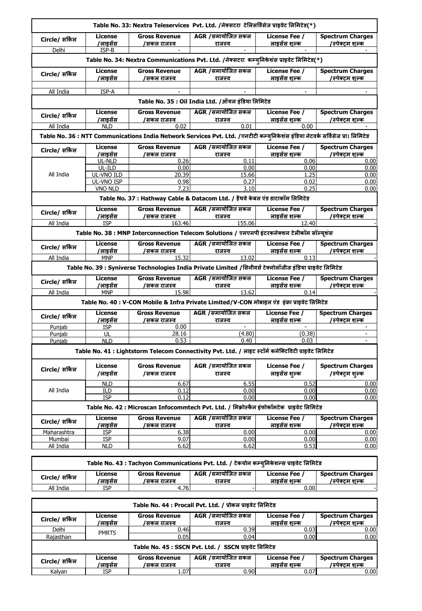|                                                   |                                                                                                                                                                                  |                                     | Table No. 33: Nextra Teleservices Pvt. Ltd. /नेक्सटरा टेलिसर्विसेज प्राइवेट लिमिटेड(*)                       |                                      |                                                   |  |  |  |  |
|---------------------------------------------------|----------------------------------------------------------------------------------------------------------------------------------------------------------------------------------|-------------------------------------|--------------------------------------------------------------------------------------------------------------|--------------------------------------|---------------------------------------------------|--|--|--|--|
| Circle/ सर्किल                                    | License<br>/लाइसेंस                                                                                                                                                              | <b>Gross Revenue</b><br>/सकल राजस्व | AGR /समायोजित सकल<br>राजस्व                                                                                  | License Fee /<br>लाडसेंस शल्क        | <b>Spectrum Charges</b><br>/स्पे <u>क्टम शल्क</u> |  |  |  |  |
| Delhi                                             | ISP-B                                                                                                                                                                            |                                     |                                                                                                              |                                      |                                                   |  |  |  |  |
|                                                   |                                                                                                                                                                                  |                                     | Table No. 34: Nextra Communications Pvt. Ltd. /नेक्सटरा  कम्यूनिकेशंस प्राइवेट लिमिटेड(*)                    |                                      |                                                   |  |  |  |  |
| Circle/ सर्किल                                    | License<br>/लाडसेंस                                                                                                                                                              | <b>Gross Revenue</b><br>/सकल राजस्व | AGR /समायोजित सकल<br>राजस्व                                                                                  | License Fee /<br>लाइसेंस शल्क        | <b>Spectrum Charges</b><br>/स्पेक्टम शल्क         |  |  |  |  |
| All India                                         | ISP-A                                                                                                                                                                            |                                     |                                                                                                              |                                      |                                                   |  |  |  |  |
| Table No. 35 : Oil India Ltd. /ऑयल इंडिया लिमिटेड |                                                                                                                                                                                  |                                     |                                                                                                              |                                      |                                                   |  |  |  |  |
| Circle/ सर्किल                                    | <b>License</b>                                                                                                                                                                   | <b>Gross Revenue</b>                | AGR /समायोजित सकल                                                                                            | License Fee /                        | <b>Spectrum Charges</b>                           |  |  |  |  |
|                                                   | /लाडसेंस                                                                                                                                                                         | /सकल राजस्व                         | राजस्व                                                                                                       | लाडसेंस शल्क                         | /स्पेक्टम शल्क                                    |  |  |  |  |
|                                                   | All India<br>0.02<br>0.01<br><b>NLD</b><br>0.00<br>Table No. 36 : NTT Communications India Network Services Pvt. Ltd. /एनटीटी कम्युनिकेशंस इंडिया नेटवर्क सर्विसेज प्रा। लिमिटेड |                                     |                                                                                                              |                                      |                                                   |  |  |  |  |
|                                                   |                                                                                                                                                                                  |                                     |                                                                                                              |                                      |                                                   |  |  |  |  |
| Circle/ सर्किल                                    | <b>License</b><br>/लाइसेंस                                                                                                                                                       | <b>Gross Revenue</b><br>/सकल राजस्व | AGR /समायोजित सकल<br>राजस्व                                                                                  | <b>License Fee /</b><br>लाइसेंस शल्क | <b>Spectrum Charges</b><br>/स्पेक्टम शल्क         |  |  |  |  |
|                                                   | UL-NLD                                                                                                                                                                           | 0.26                                | 0.11                                                                                                         | 0.06                                 | 0.00                                              |  |  |  |  |
|                                                   | UL-ILD                                                                                                                                                                           | 0.00                                | 0.00                                                                                                         | 0.00                                 | 0.00                                              |  |  |  |  |
| All India                                         | UL-VNO ILD<br>UL-VNO ISP                                                                                                                                                         | 20.39<br>0.98                       | 15.66<br>0.27                                                                                                | 1.25<br>0.02                         | 0.00<br>0.00                                      |  |  |  |  |
|                                                   | <b>VNO NLD</b>                                                                                                                                                                   | 7.23                                | 3.10                                                                                                         | 0.25                                 | 0.00                                              |  |  |  |  |
|                                                   |                                                                                                                                                                                  |                                     | Table No. 37 : Hathway Cable & Datacom Ltd. / हैथवे केबल एंड डाटाकॉम लिमिटेड                                 |                                      |                                                   |  |  |  |  |
| Circle/ सर्किल                                    | License                                                                                                                                                                          | <b>Gross Revenue</b>                | AGR /समायोजित सकल                                                                                            | <b>License Fee /</b>                 | <b>Spectrum Charges</b>                           |  |  |  |  |
| All India                                         | /लाइसेंस<br><b>ISP</b>                                                                                                                                                           | /सकल राजस्व<br>163.46               | राजस्व<br>155.06                                                                                             | लाइसेंस शल्क<br>12.40                | /स्पेक्टम शल्क                                    |  |  |  |  |
|                                                   |                                                                                                                                                                                  |                                     |                                                                                                              |                                      |                                                   |  |  |  |  |
|                                                   |                                                                                                                                                                                  |                                     | Table No. 38 : MNP Interconnection Telecom Solutions / एमएनपी इंटरकनेक्शन टेलीकॉम सॉल्य्शंस                  |                                      |                                                   |  |  |  |  |
| Circle/ सर्किल                                    | <b>License</b>                                                                                                                                                                   | <b>Gross Revenue</b>                | AGR /समायोजित सकल                                                                                            | License Fee /                        | <b>Spectrum Charges</b>                           |  |  |  |  |
|                                                   | /लाइसेंस                                                                                                                                                                         | /सकल राजस्व<br>15.32                | <u>राजस्व</u><br>13.02                                                                                       | लाइसेंस शल्क                         | /स्पेक्टम शल्क                                    |  |  |  |  |
| All India                                         | <b>MNP</b>                                                                                                                                                                       |                                     |                                                                                                              | 0.13                                 |                                                   |  |  |  |  |
|                                                   |                                                                                                                                                                                  |                                     | Table No. 39 : Syniverse Technologies India Private Limited /सिनीवर्स टेक्नोलॉजीज इंडिया प्राइवेट लिमिटेड    |                                      |                                                   |  |  |  |  |
| Circle/ सर्किल                                    | License                                                                                                                                                                          | <b>Gross Revenue</b>                | AGR /समायोजित सकल                                                                                            | License Fee /                        | <b>Spectrum Charges</b>                           |  |  |  |  |
|                                                   | /लाइसेंस                                                                                                                                                                         | /सकल राजस्व                         | राजस्व                                                                                                       | लाडसेंस शल्क                         | /स्पेक्टम शल्क                                    |  |  |  |  |
| All India                                         | <b>MNP</b>                                                                                                                                                                       | 15.98                               | 13.62<br>Table No. 40 : V-CON Mobile & Infra Private Limited/V-CON मोबाइल एंड) इंफ्रा प्राइवेट लिमिटेड       | 0.14                                 |                                                   |  |  |  |  |
|                                                   |                                                                                                                                                                                  |                                     |                                                                                                              |                                      |                                                   |  |  |  |  |
| Circle/ सर्किल                                    | License<br>'लाइसेंस                                                                                                                                                              | <b>Gross Revenue</b><br>/सकल राजस्व | AGR /समायोजित सकल<br>राजस्व                                                                                  | <b>License Fee /</b><br>लाइसेंस शल्क | <b>Spectrum Charges</b><br>/स्पेक्टम शल्क         |  |  |  |  |
| Punjab                                            | <b>ISP</b>                                                                                                                                                                       | 0.00                                |                                                                                                              |                                      |                                                   |  |  |  |  |
| Punjab                                            | UL                                                                                                                                                                               | 28.16                               | (4.80)                                                                                                       | (0.38)                               | ÷.                                                |  |  |  |  |
| Punjab                                            | <b>NLD</b>                                                                                                                                                                       | 0.53                                | 0.40                                                                                                         | 0.03                                 | $\sim$                                            |  |  |  |  |
|                                                   |                                                                                                                                                                                  |                                     | Table No. 41 : Lightstorm Telecom Connectivity Pvt. Ltd. / लाइट स्टॉर्म कनेक्टिविटी प्राइवेट लिमिटेड         |                                      |                                                   |  |  |  |  |
| Circle/ सर्किल                                    | License<br>/लाइसेंस                                                                                                                                                              | <b>Gross Revenue</b><br>/सकल राजस्व | AGR /समायोजित सकल<br>राजस्व                                                                                  | License Fee /<br>लाइसेंस शल्क        | <b>Spectrum Charges</b><br>/स्पेक्ट्रम शुल्क      |  |  |  |  |
|                                                   | <b>NLD</b>                                                                                                                                                                       | 6.67                                | 6.55                                                                                                         | 0.52                                 | 0.00                                              |  |  |  |  |
| All India                                         | ILD                                                                                                                                                                              | 0.12                                | 0.00                                                                                                         | 0.00                                 | 0.00                                              |  |  |  |  |
|                                                   | <b>ISP</b>                                                                                                                                                                       | 0.12                                | 0.00<br>Table No. 42 : Microscan Infocommtech Pvt. Ltd. / मिक्रोस्कैन इंफोकॉमटेक प्राइवेट लिमिटेड            | 0.00                                 | 0.00                                              |  |  |  |  |
| Circle/ सर्किल                                    | License                                                                                                                                                                          | <b>Gross Revenue</b>                | AGR /समायोजित सकल                                                                                            | License Fee /                        | <b>Spectrum Charges</b>                           |  |  |  |  |
|                                                   | <u>'लाइसेंस_</u>                                                                                                                                                                 | /सकल राजस्व                         | राजस्व<br>0.00                                                                                               | लाइसेंस शल्क                         | /स्पेक्टम शल्क                                    |  |  |  |  |
| Maharashtra<br>Mumbai                             | ISP<br>ISP                                                                                                                                                                       | 6.38<br>9.07                        | 0.00                                                                                                         | 0.00<br>0.00                         | 0.00<br>0.00                                      |  |  |  |  |
| All India                                         | <b>NLD</b>                                                                                                                                                                       | 6.62                                | 6.62                                                                                                         | 0.53                                 | 0.00                                              |  |  |  |  |
|                                                   |                                                                                                                                                                                  |                                     |                                                                                                              |                                      |                                                   |  |  |  |  |
|                                                   | License                                                                                                                                                                          | <b>Gross Revenue</b>                | Table No. 43 : Tachyon Communications Pvt. Ltd. / टेकयोन कम्युनिकेशन्स प्राइवेट लिमिटेड<br>AGR /समायोजित सकल | License Fee /                        | <b>Spectrum Charges</b>                           |  |  |  |  |
| Circle/ सकिल                                      | <u>'लाइसेंस_</u>                                                                                                                                                                 | /सकल राजस्व                         | राजस्व                                                                                                       | लाइसेंस शल्क                         | /स्पेक्टम शल्क                                    |  |  |  |  |
| All India                                         | ISP                                                                                                                                                                              | 4.76                                |                                                                                                              | 0.00                                 |                                                   |  |  |  |  |
|                                                   |                                                                                                                                                                                  |                                     |                                                                                                              |                                      |                                                   |  |  |  |  |
|                                                   |                                                                                                                                                                                  |                                     | Table No. 44 : Procall Pvt. Ltd. / प्रोकल प्राइवेट लिमिटेड                                                   |                                      |                                                   |  |  |  |  |
|                                                   |                                                                                                                                                                                  |                                     |                                                                                                              |                                      |                                                   |  |  |  |  |
| Circle/ सकिल                                      | License                                                                                                                                                                          | <b>Gross Revenue</b>                | AGR /समायोजित सकल                                                                                            | License Fee /                        | <b>Spectrum Charges</b>                           |  |  |  |  |
| Delhi                                             | <u>/लाइसेंस</u><br>PMRTS                                                                                                                                                         | /सकल राजस्व<br>0.46                 | <u>राजस्व</u><br>0.39                                                                                        | लाइसेंस शल्क<br>0.03                 | /स्पेक्ट्म शल्क<br>0.00                           |  |  |  |  |

**Table No. 45 : SSCN Pvt. Ltd. / SSCN प्राइिेट लिलमटेड**

| Circle/ सर्किल | License<br>'लाडसंस | <b>Gross Revenue</b><br>/सकल राजस्व | AGR /समायोजित सकल<br>राजस्व | License Fee<br>लाडसेस शल्क | <b>Spectrum Charges</b><br>/स्पेक्टम शल्क |  |
|----------------|--------------------|-------------------------------------|-----------------------------|----------------------------|-------------------------------------------|--|
| Kalvan         | <b>ISP</b>         | 1.07                                | $0.90 \mathsf{I}$           | 0.07                       | $0.00\,$                                  |  |

Rajasthan | '''''' | 0.05 0.04 0.04 0.00 0.00 0.00 0.00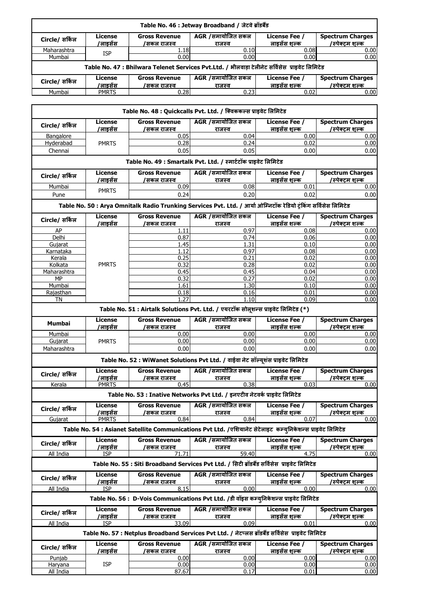|                                                                                                |                     |                                     | Table No. 46 : Jetway Broadband / जेटवे ब्रॉडबैंड |                               |                                           |  |  |
|------------------------------------------------------------------------------------------------|---------------------|-------------------------------------|---------------------------------------------------|-------------------------------|-------------------------------------------|--|--|
| Circle/ सर्किल                                                                                 | License<br>/लाडसेंस | <b>Gross Revenue</b><br>/सकल राजस्व | AGR /समायोजित सकल<br>राजस्व                       | License Fee /<br>लाडसेंस शल्क | <b>Spectrum Charges</b><br>/स्पेक्टम शल्क |  |  |
| Maharashtra                                                                                    | ISP                 | 1.18                                | 0.10                                              | 0.08                          | 0.00                                      |  |  |
| Mumbai                                                                                         |                     | 0.00                                | 0.00                                              | 0.00                          | 0.00                                      |  |  |
| Table No. 47 : Bhilwara Telenet Services Pvt.Ltd. / भीलवाड़ा टेलीनेट सर्विसेस प्राइवेट लिमिटेड |                     |                                     |                                                   |                               |                                           |  |  |
| Circle/ सर्किल                                                                                 | License             | <b>Gross Revenue</b>                | AGR /समायोजित सकल                                 | License Fee /                 | <b>Spectrum Charges</b>                   |  |  |
|                                                                                                | /लाइसेंस            | /सकल राजस्व                         | राजस्व                                            | लाइसेंस शल्क                  | /स्पेक्टम शल्क                            |  |  |
| Mumbai                                                                                         | <b>PMRTS</b>        | 0.28                                | 0.23                                              | 0.02                          | 0.00                                      |  |  |

|                 |                            |                                     | Table No. 48 : Quickcalls Pvt. Ltd. / क्विककल्स प्राइवेट लिमिटेड                                                 |                                      |                                           |
|-----------------|----------------------------|-------------------------------------|------------------------------------------------------------------------------------------------------------------|--------------------------------------|-------------------------------------------|
| Circle/ सर्किल  | License<br><u>/लाइसेंस</u> | <b>Gross Revenue</b><br>/सकल राजस्व | AGR /समायोजित सकल<br>राजस्व                                                                                      | <b>License Fee /</b><br>लाइसेंस शल्क | <b>Spectrum Charges</b><br>/स्पेक्टम शल्क |
| Bangalore       |                            | 0.05                                | 0.04                                                                                                             | 0.00                                 | 0.00                                      |
| Hyderabad       | <b>PMRTS</b>               | 0.28                                | 0.24                                                                                                             | 0.02                                 | 0.00                                      |
| Chennai         |                            | 0.05                                | 0.05                                                                                                             | 0.00                                 | 0.00                                      |
|                 |                            |                                     | Table No. 49 : Smartalk Pvt. Ltd. / स्मार्टटॉक प्राइवेट लिमिटेड                                                  |                                      |                                           |
| Circle/ सर्किल  | License                    | <b>Gross Revenue</b>                | AGR /समायोजित सकल                                                                                                | <b>License Fee /</b>                 | <b>Spectrum Charges</b>                   |
| Mumbai          | /लाइसेंस                   | /सकल राजस्व<br>0.09                 | राजस्व<br>0.08                                                                                                   | लाइसेंस शल्क<br>0.01                 | /स्पेक्टम शल्क<br>0.00                    |
| Pune            | <b>PMRTS</b>               | 0.24                                | 0.20                                                                                                             | 0.02                                 | 0.00                                      |
|                 |                            |                                     | Table No. 50 : Arya Omnitalk Radio Trunking Services Pvt. Ltd. / आर्या ओम्निटॉक रेडियो ट्रंकिंग सर्विसेस लिमिटेड |                                      |                                           |
| Circle/ सर्किल  | License<br><u>/लाइसेंस</u> | <b>Gross Revenue</b><br>/सकल राजस्व | AGR /समायोजित सकल<br>राजस्व                                                                                      | License Fee /<br>लाइसेंस शल्क        | <b>Spectrum Charges</b><br>/स्पेक्टम शल्क |
| AP              |                            | 1.11                                | 0.97                                                                                                             | 0.08                                 | 0.00                                      |
| Delhi           |                            | 0.87                                | 0.74                                                                                                             | 0.06                                 | 0.00                                      |
| Gujarat         |                            | 1.45                                | 1.31                                                                                                             | 0.10                                 | 0.00                                      |
| Karnataka       |                            | 1.12                                | 0.97                                                                                                             | 0.08                                 | 0.00                                      |
| Kerala          |                            | 0.25                                | 0.21                                                                                                             | 0.02                                 | 0.00                                      |
| Kolkata         | <b>PMRTS</b>               | 0.32                                | 0.28                                                                                                             | 0.02                                 | 0.00                                      |
| Maharashtra     |                            | 0.45                                | 0.45                                                                                                             | 0.04                                 | 0.00                                      |
| MP              |                            | 0.32                                | 0.27                                                                                                             | 0.02                                 | 0.00                                      |
| Mumbai          |                            | 1.61                                | 1.30                                                                                                             | 0.10                                 | 0.00                                      |
| Rajasthan<br>TN |                            | 0.18<br>1.27                        | 0.16<br>1.10                                                                                                     | 0.01<br>0.09                         | 0.00<br>0.00                              |
|                 |                            |                                     | Table No. 51 : Airtalk Solutions Pvt. Ltd. / एयरटॉक सोलूशन्स प्राइवेट लिमिटेड (*)                                |                                      |                                           |
| Mumbai          | License                    | <b>Gross Revenue</b>                | AGR /समायोजित सकल                                                                                                | <b>License Fee /</b>                 | <b>Spectrum Charges</b>                   |
|                 | /लाइसेंस                   | <u>/सकल राजस्व</u>                  | <u>राजस्व</u>                                                                                                    | लाइसेंस शल्क                         | /स्पेक्टम शल्क                            |
| Mumbai          |                            | 0.00                                | 0.00                                                                                                             | 0.00                                 | 0.00                                      |
| Gujarat         | <b>PMRTS</b>               | 0.00                                | 0.00                                                                                                             | 0.00                                 | 0.00                                      |
| Maharashtra     |                            | 0.00                                | 0.00<br>Table No. 52 : WiWanet Solutions Pvt Ltd. / वाईवा नेट सॉल्यूशंस प्राइवेट लिमिटेड                         | 0.00                                 | 0.00                                      |
|                 | License                    | <b>Gross Revenue</b>                | AGR /समायोजित सकल                                                                                                | License Fee /                        | <b>Spectrum Charges</b>                   |
| Circle/ सर्किल  | <u>/लाइसेंस</u>            | /सकल राजस्व                         | राजस्व                                                                                                           | लाडसेंस शल्क                         | /स्पेक्टम शल्क                            |
| Kerala          | <b>PMRTS</b>               | 0.45                                | 0.38                                                                                                             | 0.03                                 | 0.00                                      |
|                 |                            |                                     | Table No. 53 : Inative Networks Pvt Ltd. / इनएटीव नेटवर्क प्राइवेट लिमिटेड                                       |                                      |                                           |
| Circle/ सर्किल  | License<br>/लाइसेंस        | <b>Gross Revenue</b><br>/सकल राजस्व | AGR /समायोजित सकल<br>राजस्व                                                                                      | License Fee /<br>लाइसेंस शल्क        | <b>Spectrum Charges</b><br>/स्पेक्टम शल्क |
| Gujarat         | <b>PMRTS</b>               | 0.84                                | 0.84                                                                                                             | 0.07                                 | 0.00                                      |
|                 |                            |                                     | Table No. 54 : Asianet Satellite Communications Pvt Ltd. /एशियानेट सेटेलाइट कम्युनिकेशन्स प्राइवेट लिमिटेड       |                                      |                                           |
| Circle/ सर्किल  | License<br>/लाइसेंस        | <b>Gross Revenue</b><br>/सकल राजस्व | AGR /समायोजित सकल<br>राजस्व                                                                                      | <b>License Fee /</b><br>लाइसेंस शल्क | <b>Spectrum Charges</b><br>/स्पेक्टम शल्क |
| All India       | <b>ISP</b>                 | 71.71                               | 59.40                                                                                                            | 4.75                                 | 0.00                                      |
|                 |                            |                                     | Table No. 55 : Siti Broadband Services Pvt Ltd. / सिटी ब्रॉडबैंड सर्विसेस प्राइवेट लिमिटेड                       |                                      |                                           |
| Circle/ सर्किल  | License<br>/लाइसेंस        | <b>Gross Revenue</b><br>/सकल राजस्व | AGR /समायोजित सकल<br>राजस्व                                                                                      | <b>License Fee /</b><br>लाडसेंस शल्क | <b>Spectrum Charges</b><br>/स्पेक्टम शल्क |
| All India       | <b>ISP</b>                 | 8.15                                | 0.00                                                                                                             | 0.00                                 | 0.00                                      |
|                 |                            |                                     | Table No. 56 : D-Vois Communications Pvt Ltd. /डी वॉइस कम्यूनिकेशन्स प्राइवेट लिमिटेड                            |                                      |                                           |
| Circle/ सर्किल  | License                    | <b>Gross Revenue</b>                | AGR /समायोजित सकल                                                                                                | <b>License Fee /</b>                 | <b>Spectrum Charges</b>                   |
| All India       | /लाइसेंस<br>ISP            | /सकल राजस्व<br>33.09                | राजस्व<br>0.09                                                                                                   | लाडसेंस शल्क<br>0.01                 | /स्पेक्टम शल्क<br>0.00                    |
|                 |                            |                                     | Table No. 57 : Netplus Broadband Services Pvt Ltd. / नेटप्लस ब्रॉडबैंड सर्विसेस प्राइवेट लिमिटेड                 |                                      |                                           |
| Circle/ सर्किल  | License                    | <b>Gross Revenue</b>                | AGR / समायोजित सकल                                                                                               | License Fee /                        | <b>Spectrum Charges</b>                   |
|                 | /लाइसेंस                   | /सकल राजस्व                         | राजस्व                                                                                                           | लाइसेंस शल्क                         | /स्पेक्ट्म शल्क                           |
| Punjab          |                            | 0.00                                | 0.00                                                                                                             | 0.00                                 | 0.00                                      |
| Haryana         | <b>ISP</b>                 | 0.00                                | 0.00                                                                                                             | 0.00                                 | 0.00                                      |
| All India       |                            | 87.67                               | 0.17                                                                                                             | 0.01                                 | 0.00                                      |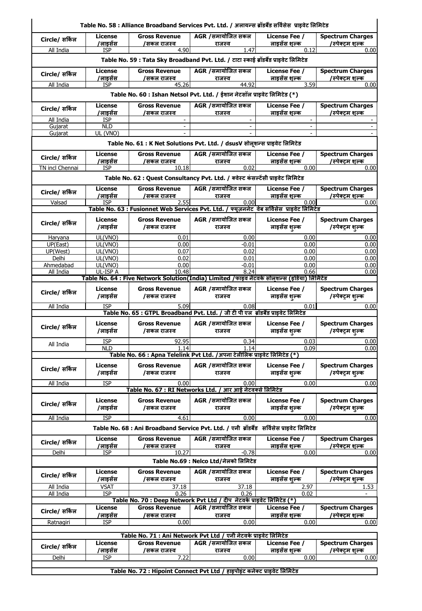|                                                                                     | Table No. 58 : Alliance Broadband Services Pvt. Ltd. / अलायन्स ब्रॉडबैंड सर्विसेस  प्राइवेट लिमिटेड |                                     |                                                                                                      |                                              |                                              |  |  |  |
|-------------------------------------------------------------------------------------|-----------------------------------------------------------------------------------------------------|-------------------------------------|------------------------------------------------------------------------------------------------------|----------------------------------------------|----------------------------------------------|--|--|--|
| Circle/ सर्किल                                                                      | License<br>/लाइसेंस                                                                                 | <b>Gross Revenue</b>                | AGR /समायोजित सकल                                                                                    | <b>License Fee /</b><br>लाइसेंस शल्क         | <b>Spectrum Charges</b><br>/स्पेक्टम शल्क    |  |  |  |
| All India                                                                           | <b>ISP</b>                                                                                          | /सकल राजस्व<br>4.90                 | राजस्व<br>1.47                                                                                       | 0.12                                         | 0.00                                         |  |  |  |
| Table No. 59 : Tata Sky Broadband Pvt. Ltd. / टाटा स्काई ब्रॉडबैंड प्राइवेट लिमिटेड |                                                                                                     |                                     |                                                                                                      |                                              |                                              |  |  |  |
| Circle/ सर्किल                                                                      | <b>License</b><br>/लाइसेंस                                                                          | <b>Gross Revenue</b><br>/सकल राजस्व | AGR /समायोजित सकल<br>राजस्व                                                                          | License Fee /<br>लाइसेंस शल्क                | <b>Spectrum Charges</b><br>/स्पेक्टम शल्क    |  |  |  |
| All India                                                                           | ISP                                                                                                 | 45.26                               | 44.92                                                                                                | 3.59                                         | 0.00                                         |  |  |  |
|                                                                                     |                                                                                                     |                                     | Table No. 60 : Ishan Netsol Pvt. Ltd. / ईशान नेटसॉल प्राइवेट लिमिटेड (*)                             |                                              |                                              |  |  |  |
| Circle/ सर्किल                                                                      | <b>License</b><br>/लाइसेंस                                                                          | <b>Gross Revenue</b><br>/सकल राजस्व | AGR /समायोजित सकल<br>राजस्व                                                                          | License Fee /<br>लाइसेंस शल्क                | <b>Spectrum Charges</b><br>/स्पेक्टम शल्क    |  |  |  |
| All India                                                                           | <b>ISP</b>                                                                                          | $\bar{\phantom{a}}$                 |                                                                                                      |                                              |                                              |  |  |  |
| Gujarat                                                                             | <b>NLD</b>                                                                                          | $\overline{\phantom{a}}$            | $\sim$                                                                                               | ÷.                                           |                                              |  |  |  |
| Gujarat                                                                             | UL (VNO)                                                                                            |                                     | Table No. 61 : K Net Solutions Pvt. Ltd. / dsusV सोलूशन्स प्राइवेट लिमिटेड                           |                                              |                                              |  |  |  |
| Circle/ सर्किल                                                                      | License                                                                                             | <b>Gross Revenue</b>                | AGR / समायोजित सकल                                                                                   | License Fee /                                | <b>Spectrum Charges</b>                      |  |  |  |
| TN incl Chennai                                                                     | /लाइसेंस<br><b>ISP</b>                                                                              | /सकल राजस्व<br>10.18                | राजस्व<br>0.02                                                                                       | लाइसेंस शल्क<br>0.00                         | /स्पेक्टम शल्क<br>0.00                       |  |  |  |
|                                                                                     |                                                                                                     |                                     | Table No. 62 : Quest Consultancy Pvt. Ltd. / क्वेस्ट कंसल्टेंसी प्राइवेट लिमिटेड                     |                                              |                                              |  |  |  |
|                                                                                     |                                                                                                     |                                     |                                                                                                      |                                              |                                              |  |  |  |
| Circle/ सर्किल                                                                      | <b>License</b><br>/लाडसेंस                                                                          | <b>Gross Revenue</b><br>/सकल राजस्व | AGR /समायोजित सकल<br>राजस्व                                                                          | <b>License Fee /</b><br>लाइ <u>सेंस शल्क</u> | <b>Spectrum Charges</b><br>/स्पेक्टम शल्क    |  |  |  |
| Valsad                                                                              | <b>ISP</b>                                                                                          | 2.55                                | 0.00<br>Table No. 63 : Fusionnet Web Services Pvt. Ltd. / फ्युज़ननेट  वेब सर्विसेस  प्राइवेट लिमिटेड | 0.00                                         | 0.00                                         |  |  |  |
|                                                                                     | License                                                                                             |                                     |                                                                                                      | License Fee /                                |                                              |  |  |  |
| Circle/ सर्किल                                                                      | /लाइसेंस                                                                                            | <b>Gross Revenue</b><br>/सकल राजस्व | AGR /समायोजित सकल<br>राजस्व                                                                          | लाइसेंस शुल्क                                | <b>Spectrum Charges</b><br>/स्पेक्ट्रम शुल्क |  |  |  |
| Haryana                                                                             | UL(VNO)                                                                                             | 0.01                                | 0.00                                                                                                 | 0.00                                         | 0.00                                         |  |  |  |
| UP(East)<br>UP(West)                                                                | UL(VNO)<br>UL(VNO)                                                                                  | 0.00<br>0.07                        | $-0.01$<br>0.02                                                                                      | 0.00<br>0.00                                 | 0.00<br>0.00                                 |  |  |  |
| Delhi                                                                               | UL(VNO)                                                                                             | 0.02                                | 0.01                                                                                                 | 0.00                                         | 0.00                                         |  |  |  |
| Ahmedabad                                                                           | UL(VNO)                                                                                             | 0.00                                | $-0.01$                                                                                              | 0.00                                         | 0.00                                         |  |  |  |
| All India                                                                           | UL-ISP A                                                                                            | 10.48                               | 8.24                                                                                                 | 0.66                                         | 0.00                                         |  |  |  |
|                                                                                     |                                                                                                     |                                     | Table No. 64 : Five Network Solution(India) Limited /फाइव नेटवर्क सोल्शन्स (इंडिया) लिमिटेड          |                                              |                                              |  |  |  |
| Circle/ सर्किल                                                                      | License<br>/लाइसेंस                                                                                 | <b>Gross Revenue</b><br>/सकल राजस्व | AGR / समायोजित सकल<br>राजस्व                                                                         | License Fee /<br>लाइसेंस शुल्क               | <b>Spectrum Charges</b><br>/स्पेक्ट्रम शुल्क |  |  |  |
| All India                                                                           | <b>ISP</b>                                                                                          | 5.09                                | 0.08<br>Table No. 65 : GTPL Broadband Pvt. Ltd. / जी टी पी एल ब्रॉडबैंड प्राइवेट लिमिटेड             | 0.01                                         | 0.00                                         |  |  |  |
|                                                                                     |                                                                                                     |                                     |                                                                                                      |                                              |                                              |  |  |  |
| Circle/ सर्किल                                                                      | License<br>/लाइसेंस                                                                                 | <b>Gross Revenue</b><br>/सकल राजस्व | AGR /समायोजित सकल<br>राजस्व                                                                          | License Fee /<br>लाइसेंस शुल्क               | <b>Spectrum Charges</b><br>/स्पेक्ट्रम शुल्क |  |  |  |
| All India                                                                           | <b>ISP</b>                                                                                          | 92.95                               | 0.34                                                                                                 | 0.03                                         | 0.00                                         |  |  |  |
|                                                                                     | <b>NLD</b>                                                                                          | 1.14                                | 1.14<br>Table No. 66 : Apna Telelink Pvt Ltd. /अपना टेलीलिक प्राइवेट लिमिटेड (*)                     | 0.09                                         | 0.00                                         |  |  |  |
| Circle/ सर्किल                                                                      | License<br>/लाइसेंस                                                                                 | <b>Gross Revenue</b><br>/सकल राजस्व | AGR / समायोजित सकल<br>राजस्व                                                                         | License Fee /<br>लाइसेंस शुल्क               | <b>Spectrum Charges</b><br>/स्पेक्ट्रम शुल्क |  |  |  |
| All India                                                                           | <b>ISP</b>                                                                                          | 0.00                                | 0.00                                                                                                 | 0.00                                         | 0.00                                         |  |  |  |
|                                                                                     |                                                                                                     |                                     | Table No. 67 : RI Networks Ltd. / आर आई नेटवर्क्स लिमिटेड                                            |                                              |                                              |  |  |  |
| Circle/ सकिल                                                                        | License<br>/लाइसेंस                                                                                 | <b>Gross Revenue</b><br>/सकल राजस्व | AGR /समायोजित सकल<br>राजस्व                                                                          | License Fee /<br>लाइसेंस शुल्क               | <b>Spectrum Charges</b><br>/स्पेक्ट्रम शुल्क |  |  |  |
| All India                                                                           | <b>ISP</b>                                                                                          | 4.61                                | 0.00                                                                                                 | 0.00                                         | 0.00                                         |  |  |  |
|                                                                                     |                                                                                                     |                                     | Table No. 68 : Ani Broadband Service Pvt. Ltd. / एनी ब्रॉडबैंड सर्विसेस प्राइवेट लिमिटेड             |                                              |                                              |  |  |  |
| Circle/ सकिल                                                                        | License<br>'लाइसेंस                                                                                 | <b>Gross Revenue</b><br>/सकल राजस्व | AGR /समायोजित सकल<br>राजस्व                                                                          | License Fee /<br>लाइसेंस शल्क                | <b>Spectrum Charges</b><br>/स्पेक्टम शल्क    |  |  |  |
| Delhi                                                                               | <b>ISP</b>                                                                                          | 10.27                               | $-0.78$                                                                                              | 0.00                                         | 0.00                                         |  |  |  |
|                                                                                     |                                                                                                     |                                     | Table No.69 : Nelco Ltd/नेलको लिमिटेड                                                                |                                              |                                              |  |  |  |
| Circle/ सर्किल                                                                      | License                                                                                             | <b>Gross Revenue</b>                | AGR /समायोजित सकल                                                                                    | License Fee /                                | <b>Spectrum Charges</b>                      |  |  |  |
| All India                                                                           | /लाइसेंस<br><b>VSAT</b>                                                                             | /सकल राजस्व<br>37.18                | राजस्व<br>37.18                                                                                      | लाइसेंस शुल्क<br>2.97                        | /स्पेक्ट्म शुल्क<br>1.53                     |  |  |  |
| All India                                                                           | <b>ISP</b>                                                                                          | 0.26                                | 0.26                                                                                                 | 0.02                                         |                                              |  |  |  |
|                                                                                     |                                                                                                     |                                     | Table No. 70 : Deep Network Pvt Ltd / दीप नेटवर्क प्राइवेट लिमिटेड (*)                               |                                              |                                              |  |  |  |
| Circle/ सर्किल                                                                      | License<br><u>/लाइसेंस</u>                                                                          | <b>Gross Revenue</b><br>/सकल राजस्व | AGR /समायोजित सकल<br>राजस्व                                                                          | License Fee /<br>लाइसेंस शल्क                | <b>Spectrum Charges</b><br>/स्पेक्टम शल्क    |  |  |  |
| Ratnagiri                                                                           | <b>ISP</b>                                                                                          | 0.00                                | 0.00                                                                                                 | 0.00                                         | 0.00                                         |  |  |  |
|                                                                                     |                                                                                                     |                                     |                                                                                                      |                                              |                                              |  |  |  |
|                                                                                     | License                                                                                             | <b>Gross Revenue</b>                | Table No. 71 : Ani Network Pvt Ltd / एनी नेटवर्क प्राइवेट लिमिटेड<br>AGR /समायोजित सकल               | License Fee /                                | <b>Spectrum Charges</b>                      |  |  |  |
| Circle/ सर्किल                                                                      | /लाइसेंस                                                                                            | /सकल राजस्व                         | राजस्व                                                                                               | लाइसेंस शल्क                                 | /स्पेक्टम शल्क                               |  |  |  |
|                                                                                     |                                                                                                     |                                     |                                                                                                      |                                              |                                              |  |  |  |
| Delhi                                                                               | <b>ISP</b>                                                                                          | 7.22                                | 0.00                                                                                                 | 0.00                                         | 0.00                                         |  |  |  |